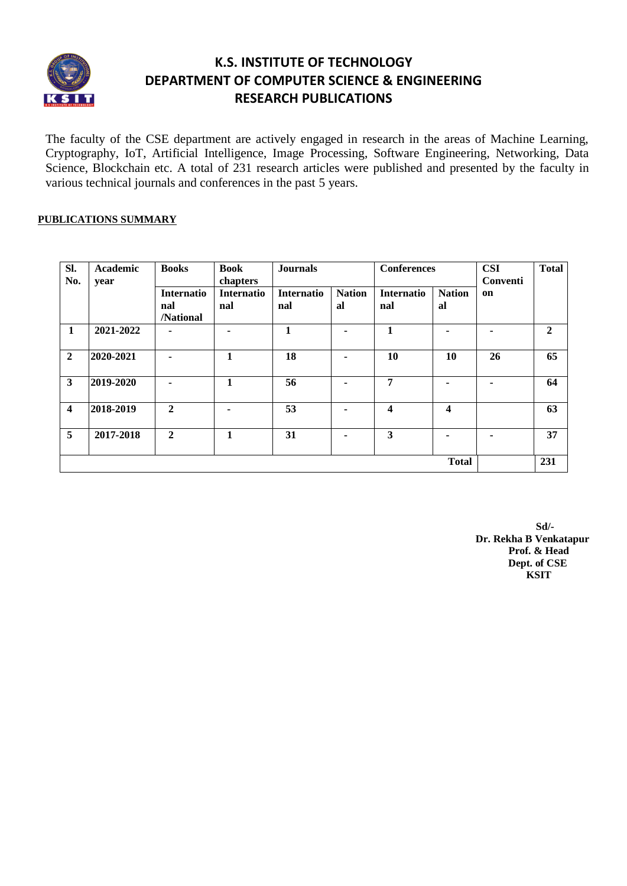

## **K.S. INSTITUTE OF TECHNOLOGY DEPARTMENT OF COMPUTER SCIENCE & ENGINEERING RESEARCH PUBLICATIONS**

The faculty of the CSE department are actively engaged in research in the areas of Machine Learning, Cryptography, IoT, Artificial Intelligence, Image Processing, Software Engineering, Networking, Data Science, Blockchain etc. A total of 231 research articles were published and presented by the faculty in various technical journals and conferences in the past 5 years.

#### **PUBLICATIONS SUMMARY**

| Sl.<br>No.              | Academic<br>year | <b>Books</b>      | <b>Book</b><br>chapters | <b>Journals</b>   |                | <b>Conferences</b>      |               | <b>CSI</b><br>Conventi | <b>Total</b>   |
|-------------------------|------------------|-------------------|-------------------------|-------------------|----------------|-------------------------|---------------|------------------------|----------------|
|                         |                  | <b>Internatio</b> | <b>Internatio</b>       | <b>Internatio</b> | <b>Nation</b>  | <b>Internatio</b>       | <b>Nation</b> | on                     |                |
|                         |                  | nal               | nal                     | nal               | al             | nal                     | al            |                        |                |
|                         |                  | /National         |                         |                   |                |                         |               |                        |                |
| $\mathbf{1}$            | 2021-2022        |                   | ۰                       | $\mathbf{1}$      | ۰              | $\mathbf{1}$            | ۰             | ۰                      | $\overline{2}$ |
| $\overline{2}$          | 2020-2021        |                   | $\mathbf{1}$            | 18                |                | 10                      | 10            | 26                     | 65             |
| 3                       | 2019-2020        |                   | 1                       | 56                | $\blacksquare$ | 7                       | ۰.            | ۰                      | 64             |
| $\overline{\mathbf{4}}$ | 2018-2019        | $\mathbf{2}$      |                         | 53                |                | 4                       | 4             |                        | 63             |
| 5                       | 2017-2018        | $\mathbf{2}$      | 1                       | 31                | ۰.             | $\overline{\mathbf{3}}$ |               | ۰                      | 37             |
|                         |                  |                   |                         |                   |                |                         | <b>Total</b>  |                        | 231            |

 **Sd/- Dr. Rekha B Venkatapur Prof. & Head Dept. of CSE** *KSIT*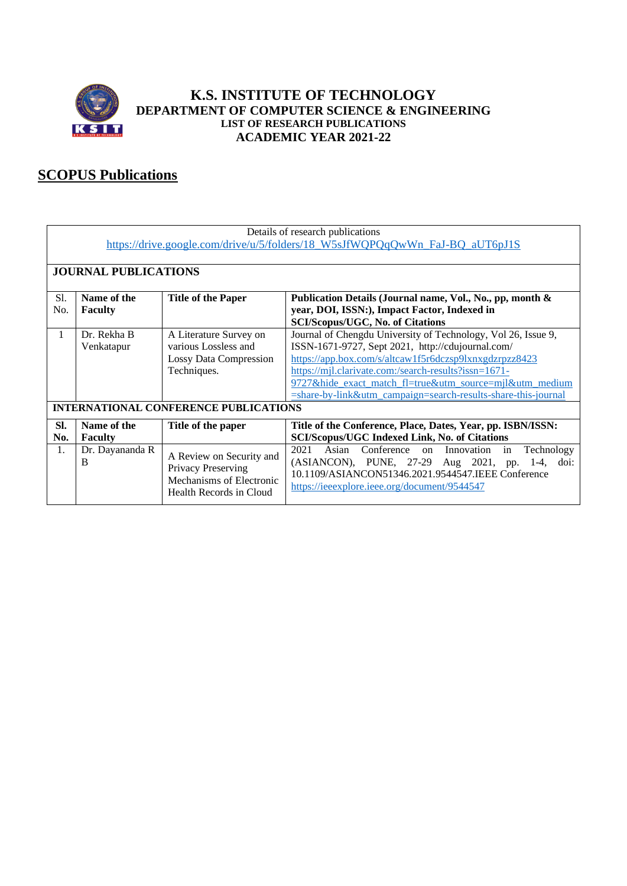

## **K.S. INSTITUTE OF TECHNOLOGY DEPARTMENT OF COMPUTER SCIENCE & ENGINEERING LIST OF RESEARCH PUBLICATIONS ACADEMIC YEAR 2021-22**

# **SCOPUS Publications**

|            | Details of research publications<br>https://drive.google.com/drive/u/5/folders/18_W5sJfWQPQqQwWn_FaJ-BQ_aUT6pJ1S |                                                                                                       |                                                                                                                                                                                                                                                                                                                                                                     |  |  |
|------------|------------------------------------------------------------------------------------------------------------------|-------------------------------------------------------------------------------------------------------|---------------------------------------------------------------------------------------------------------------------------------------------------------------------------------------------------------------------------------------------------------------------------------------------------------------------------------------------------------------------|--|--|
|            |                                                                                                                  |                                                                                                       |                                                                                                                                                                                                                                                                                                                                                                     |  |  |
|            | <b>JOURNAL PUBLICATIONS</b>                                                                                      |                                                                                                       |                                                                                                                                                                                                                                                                                                                                                                     |  |  |
| Sl.        | Name of the<br><b>Title of the Paper</b><br>Publication Details (Journal name, Vol., No., pp, month &            |                                                                                                       |                                                                                                                                                                                                                                                                                                                                                                     |  |  |
| No.        | <b>Faculty</b>                                                                                                   |                                                                                                       | year, DOI, ISSN:), Impact Factor, Indexed in<br><b>SCI/Scopus/UGC, No. of Citations</b>                                                                                                                                                                                                                                                                             |  |  |
| 1          | Dr. Rekha B<br>Venkatapur                                                                                        | A Literature Survey on<br>various Lossless and<br><b>Lossy Data Compression</b><br>Techniques.        | Journal of Chengdu University of Technology, Vol 26, Issue 9,<br>ISSN-1671-9727, Sept 2021, http://cdujournal.com/<br>https://app.box.com/s/altcaw1f5r6dczsp9lxnxgdzrpzz8423<br>https://mjl.clarivate.com:/search-results?issn=1671-<br>9727&hide exact match fl=true&utm source=mjl&utm medium<br>$=$ share-by-link&utm campaign=search-results-share-this-journal |  |  |
|            |                                                                                                                  | <b>INTERNATIONAL CONFERENCE PUBLICATIONS</b>                                                          |                                                                                                                                                                                                                                                                                                                                                                     |  |  |
| SI.<br>No. | Name of the<br><b>Faculty</b>                                                                                    | Title of the paper                                                                                    | Title of the Conference, Place, Dates, Year, pp. ISBN/ISSN:<br><b>SCI/Scopus/UGC Indexed Link, No. of Citations</b>                                                                                                                                                                                                                                                 |  |  |
| 1.         | Dr. Dayananda R<br>B                                                                                             | A Review on Security and<br>Privacy Preserving<br>Mechanisms of Electronic<br>Health Records in Cloud | 2021<br>Conference on<br>Asian<br>Innovation<br>Technology<br>in<br>(ASIANCON), PUNE, 27-29 Aug 2021, pp. 1-4,<br>doi:<br>10.1109/ASIANCON51346.2021.9544547.IEEE Conference<br>https://ieeexplore.ieee.org/document/9544547                                                                                                                                        |  |  |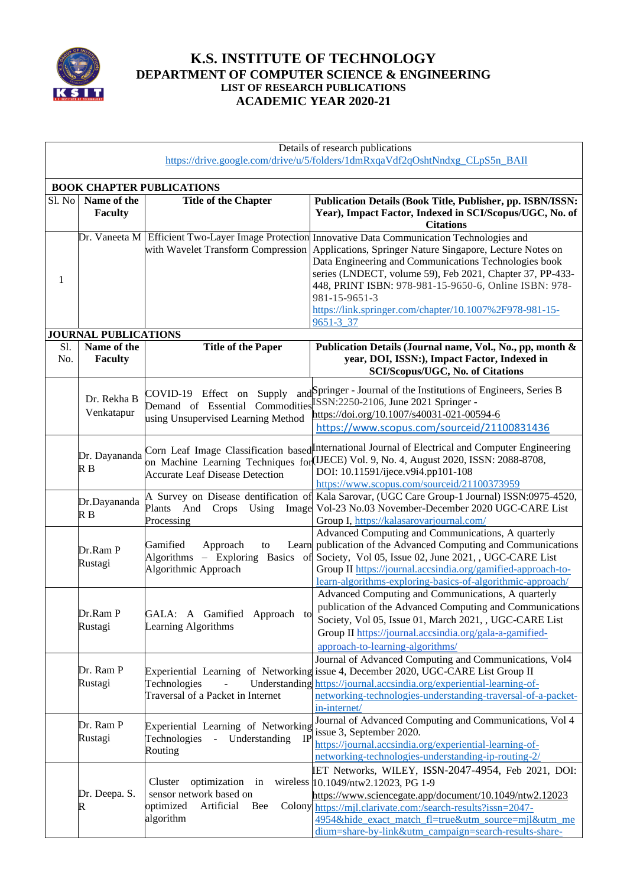

## **K.S. INSTITUTE OF TECHNOLOGY DEPARTMENT OF COMPUTER SCIENCE & ENGINEERING LIST OF RESEARCH PUBLICATIONS ACADEMIC YEAR 2020-21**

|        | Details of research publications                                             |                                                                                                                  |                                                                                                                                                                                                                                                                                                                                              |  |  |  |
|--------|------------------------------------------------------------------------------|------------------------------------------------------------------------------------------------------------------|----------------------------------------------------------------------------------------------------------------------------------------------------------------------------------------------------------------------------------------------------------------------------------------------------------------------------------------------|--|--|--|
|        | https://drive.google.com/drive/u/5/folders/1dmRxqaVdf2qOshtNndxg CLpS5n BAII |                                                                                                                  |                                                                                                                                                                                                                                                                                                                                              |  |  |  |
|        |                                                                              |                                                                                                                  |                                                                                                                                                                                                                                                                                                                                              |  |  |  |
| Sl. No | Name of the                                                                  | <b>BOOK CHAPTER PUBLICATIONS</b>                                                                                 | Publication Details (Book Title, Publisher, pp. ISBN/ISSN:                                                                                                                                                                                                                                                                                   |  |  |  |
|        | <b>Faculty</b>                                                               | <b>Title of the Chapter</b>                                                                                      | Year), Impact Factor, Indexed in SCI/Scopus/UGC, No. of<br><b>Citations</b>                                                                                                                                                                                                                                                                  |  |  |  |
|        |                                                                              |                                                                                                                  | Dr. Vaneeta M Efficient Two-Layer Image Protection Innovative Data Communication Technologies and                                                                                                                                                                                                                                            |  |  |  |
| 1      |                                                                              | with Wavelet Transform Compression                                                                               | Applications, Springer Nature Singapore, Lecture Notes on<br>Data Engineering and Communications Technologies book<br>series (LNDECT, volume 59), Feb 2021, Chapter 37, PP-433-<br>448, PRINT ISBN: 978-981-15-9650-6, Online ISBN: 978-<br>981-15-9651-3                                                                                    |  |  |  |
|        |                                                                              |                                                                                                                  | https://link.springer.com/chapter/10.1007%2F978-981-15-                                                                                                                                                                                                                                                                                      |  |  |  |
|        | <b>JOURNAL PUBLICATIONS</b>                                                  |                                                                                                                  | 9651-3 37                                                                                                                                                                                                                                                                                                                                    |  |  |  |
| Sl.    | Name of the                                                                  | <b>Title of the Paper</b>                                                                                        | Publication Details (Journal name, Vol., No., pp, month &                                                                                                                                                                                                                                                                                    |  |  |  |
| No.    | <b>Faculty</b>                                                               |                                                                                                                  | year, DOI, ISSN:), Impact Factor, Indexed in<br>SCI/Scopus/UGC, No. of Citations                                                                                                                                                                                                                                                             |  |  |  |
|        | Dr. Rekha B<br>Venkatapur                                                    | COVID-19 Effect on Supply<br>using Unsupervised Learning Method                                                  | and Springer - Journal of the Institutions of Engineers, Series B<br>Demand of Essential Commodities SSN:2250-2106, June 2021 Springer -<br>https://doi.org/10.1007/s40031-021-00594-6<br>https://www.scopus.com/sourceid/21100831436                                                                                                        |  |  |  |
|        | Dr. Dayananda<br>R B                                                         | <b>Accurate Leaf Disease Detection</b>                                                                           | Corn Leaf Image Classification based International Journal of Electrical and Computer Engineering<br>on Machine Learning Techniques for (IJECE) Vol. 9, No. 4, August 2020, ISSN: 2088-8708,<br>DOI: 10.11591/ijece.v9i4.pp101-108<br>https://www.scopus.com/sourceid/21100373959                                                            |  |  |  |
|        | Dr.Dayananda<br>R B                                                          | Plants And<br>Crops<br>Using<br>Processing                                                                       | A Survey on Disease dentification of Kala Sarovar, (UGC Care Group-1 Journal) ISSN:0975-4520,<br>Image Vol-23 No.03 November-December 2020 UGC-CARE List<br>Group I, https://kalasarovarjournal.com/                                                                                                                                         |  |  |  |
|        | Dr.Ram P<br>Rustagi                                                          | Gamified<br>Approach<br>to<br>Algorithmic Approach                                                               | Advanced Computing and Communications, A quarterly<br>Learn publication of the Advanced Computing and Communications<br>Algorithms – Exploring Basics of Society, Vol 05, Issue 02, June 2021, , UGC-CARE List<br>Group II https://journal.accsindia.org/gamified-approach-to-<br>learn-algorithms-exploring-basics-of-algorithmic-approach/ |  |  |  |
|        | Dr.Ram P<br>Rustagi                                                          | GALA: A Gamified Approach to<br>Learning Algorithms                                                              | Advanced Computing and Communications, A quarterly<br>publication of the Advanced Computing and Communications<br>Society, Vol 05, Issue 01, March 2021, , UGC-CARE List<br>Group II https://journal.accsindia.org/gala-a-gamified-<br>approach-to-learning-algorithms/                                                                      |  |  |  |
|        | Dr. Ram P<br>Rustagi                                                         | Technologies<br>Traversal of a Packet in Internet                                                                | Journal of Advanced Computing and Communications, Vol4<br>Experiential Learning of Networking issue 4, December 2020, UGC-CARE List Group II<br>Understanding https://journal.accsindia.org/experiential-learning-of-<br>networking-technologies-understanding-traversal-of-a-packet-<br>in-internet/                                        |  |  |  |
|        | Dr. Ram P<br>Rustagi                                                         | Experiential Learning of Networking<br>Understanding<br><b>IP</b><br>Technologies<br>$\omega_{\rm c}$<br>Routing | Journal of Advanced Computing and Communications, Vol 4<br>issue 3, September 2020.<br>https://journal.accsindia.org/experiential-learning-of-<br>networking-technologies-understanding-ip-routing-2/                                                                                                                                        |  |  |  |
|        | Dr. Deepa. S.<br>R                                                           | optimization in<br>Cluster<br>sensor network based on<br>optimized<br>Artificial<br>Bee<br>algorithm             | IET Networks, WILEY, ISSN-2047-4954, Feb 2021, DOI:<br>wireless 10.1049/ntw2.12023, PG 1-9<br>https://www.sciencegate.app/document/10.1049/ntw2.12023<br>Colony https://mjl.clarivate.com:/search-results?issn=2047-<br>4954&hide_exact_match_fl=true&utm_source=mjl&utm_me<br>dium=share-by-link&utm_campaign=search-results-share-         |  |  |  |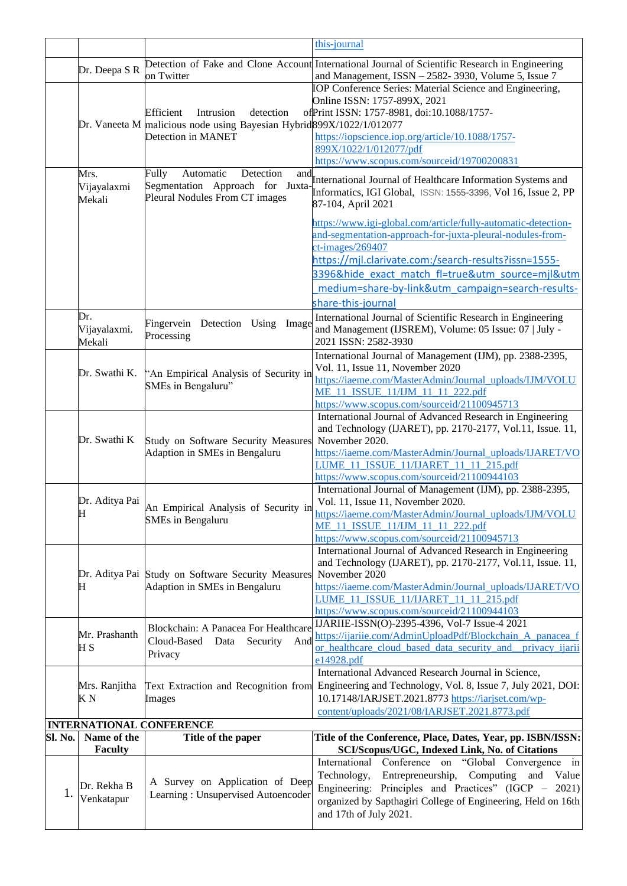|         |                        | this-journal                                                                                |                                                                                                                         |  |
|---------|------------------------|---------------------------------------------------------------------------------------------|-------------------------------------------------------------------------------------------------------------------------|--|
|         |                        |                                                                                             | Detection of Fake and Clone Account International Journal of Scientific Research in Engineering                         |  |
|         | Dr. Deepa S R          | on Twitter                                                                                  | and Management, ISSN - 2582-3930, Volume 5, Issue 7                                                                     |  |
|         |                        |                                                                                             | IOP Conference Series: Material Science and Engineering,                                                                |  |
|         |                        |                                                                                             | Online ISSN: 1757-899X, 2021                                                                                            |  |
|         |                        | Efficient<br>Intrusion<br>detection                                                         | of Print ISSN: 1757-8981, doi:10.1088/1757-                                                                             |  |
|         |                        | Dr. Vaneeta M malicious node using Bayesian Hybrid 899X/1022/1/012077<br>Detection in MANET |                                                                                                                         |  |
|         |                        |                                                                                             | https://iopscience.iop.org/article/10.1088/1757-<br>899X/1022/1/012077/pdf                                              |  |
|         |                        |                                                                                             | https://www.scopus.com/sourceid/19700200831                                                                             |  |
|         | Mrs.                   | Fully<br>Detection<br>Automatic                                                             |                                                                                                                         |  |
|         | Vijayalaxmi            | Segmentation Approach for Juxta-                                                            | and International Journal of Healthcare Information Systems and                                                         |  |
|         | Mekali                 | Pleural Nodules From CT images                                                              | Informatics, IGI Global, ISSN: 1555-3396, Vol 16, Issue 2, PP<br>87-104, April 2021                                     |  |
|         |                        |                                                                                             |                                                                                                                         |  |
|         |                        |                                                                                             | https://www.igi-global.com/article/fully-automatic-detection-                                                           |  |
|         |                        |                                                                                             | and-segmentation-approach-for-juxta-pleural-nodules-from-                                                               |  |
|         |                        |                                                                                             | $ct$ -images/269407                                                                                                     |  |
|         |                        |                                                                                             | https://mjl.clarivate.com:/search-results?issn=1555-                                                                    |  |
|         |                        |                                                                                             | 3396&hide exact match fl=true&utm source=mil&utm                                                                        |  |
|         |                        |                                                                                             | medium=share-by-link&utm_campaign=search-results-                                                                       |  |
|         |                        |                                                                                             | share-this-journal                                                                                                      |  |
|         | Dr.                    | Fingervein Detection Using Image                                                            | International Journal of Scientific Research in Engineering                                                             |  |
|         | Vijayalaxmi.<br>Mekali | Processing                                                                                  | and Management (IJSREM), Volume: 05 Issue: 07   July -<br>2021 ISSN: 2582-3930                                          |  |
|         |                        |                                                                                             | International Journal of Management (IJM), pp. 2388-2395,                                                               |  |
|         |                        |                                                                                             | Vol. 11, Issue 11, November 2020                                                                                        |  |
|         | Dr. Swathi K.          | "An Empirical Analysis of Security in                                                       | https://iaeme.com/MasterAdmin/Journal_uploads/IJM/VOLU                                                                  |  |
|         |                        | SMEs in Bengaluru"                                                                          | ME 11 ISSUE 11/IJM 11 11 222.pdf                                                                                        |  |
|         |                        |                                                                                             | https://www.scopus.com/sourceid/21100945713                                                                             |  |
|         |                        |                                                                                             | International Journal of Advanced Research in Engineering                                                               |  |
|         |                        | Study on Software Security Measures<br>Adaption in SMEs in Bengaluru                        | and Technology (IJARET), pp. 2170-2177, Vol.11, Issue. 11,                                                              |  |
|         | Dr. Swathi K           |                                                                                             | November 2020.                                                                                                          |  |
|         |                        |                                                                                             | https://iaeme.com/MasterAdmin/Journal_uploads/IJARET/VO<br>LUME 11 ISSUE 11/IJARET 11 11 215.pdf                        |  |
|         |                        |                                                                                             | https://www.scopus.com/sourceid/21100944103                                                                             |  |
|         |                        |                                                                                             | International Journal of Management (IJM), pp. 2388-2395,                                                               |  |
|         | Dr. Aditya Pai         | An Empirical Analysis of Security in                                                        | Vol. 11, Issue 11, November 2020.                                                                                       |  |
|         | $\mathbf{H}$           | <b>SMEs</b> in Bengaluru                                                                    | https://iaeme.com/MasterAdmin/Journal_uploads/IJM/VOLU                                                                  |  |
|         |                        |                                                                                             | ME 11 ISSUE 11/IJM 11 11 222.pdf                                                                                        |  |
|         |                        |                                                                                             | https://www.scopus.com/sourceid/21100945713<br>International Journal of Advanced Research in Engineering                |  |
|         |                        |                                                                                             | and Technology (IJARET), pp. 2170-2177, Vol.11, Issue. 11,                                                              |  |
|         |                        | Dr. Aditya Pai Study on Software Security Measures                                          | November 2020                                                                                                           |  |
|         | Н                      | Adaption in SMEs in Bengaluru                                                               | https://iaeme.com/MasterAdmin/Journal_uploads/IJARET/VO                                                                 |  |
|         |                        |                                                                                             | LUME 11 ISSUE 11/IJARET 11 11 215.pdf                                                                                   |  |
|         |                        |                                                                                             | https://www.scopus.com/sourceid/21100944103                                                                             |  |
|         |                        | Blockchain: A Panacea For Healthcare                                                        | IJARIIE-ISSN(O)-2395-4396, Vol-7 Issue-4 2021                                                                           |  |
|         | Mr. Prashanth<br>H S   | Cloud-Based<br>Data<br>Security<br>And                                                      | https://ijariie.com/AdminUploadPdf/Blockchain A panacea f<br>or healthcare cloud based data security and privacy ijarii |  |
|         |                        | Privacy                                                                                     | e14928.pdf                                                                                                              |  |
|         |                        |                                                                                             | International Advanced Research Journal in Science,                                                                     |  |
|         | Mrs. Ranjitha          | Text Extraction and Recognition from                                                        | Engineering and Technology, Vol. 8, Issue 7, July 2021, DOI:                                                            |  |
|         | K N                    | Images                                                                                      | 10.17148/IARJSET.2021.8773 https://iarjset.com/wp-                                                                      |  |
|         |                        |                                                                                             | content/uploads/2021/08/IARJSET.2021.8773.pdf                                                                           |  |
|         |                        | <b>INTERNATIONAL CONFERENCE</b>                                                             |                                                                                                                         |  |
| Sl. No. | Name of the            | Title of the paper                                                                          | Title of the Conference, Place, Dates, Year, pp. ISBN/ISSN:                                                             |  |
|         | <b>Faculty</b>         |                                                                                             | SCI/Scopus/UGC, Indexed Link, No. of Citations                                                                          |  |
|         |                        |                                                                                             | Conference on<br>"Global Convergence<br>International<br>$\dot{m}$                                                      |  |
|         | Dr. Rekha B            | A Survey on Application of Deep                                                             | Entrepreneurship,<br>Computing and Value<br>Technology,                                                                 |  |
| 1.      | Venkatapur             | Learning: Unsupervised Autoencoder                                                          | Engineering: Principles and Practices" (IGCP – 2021)<br>organized by Sapthagiri College of Engineering, Held on 16th    |  |
|         |                        |                                                                                             | and 17th of July 2021.                                                                                                  |  |
|         |                        |                                                                                             |                                                                                                                         |  |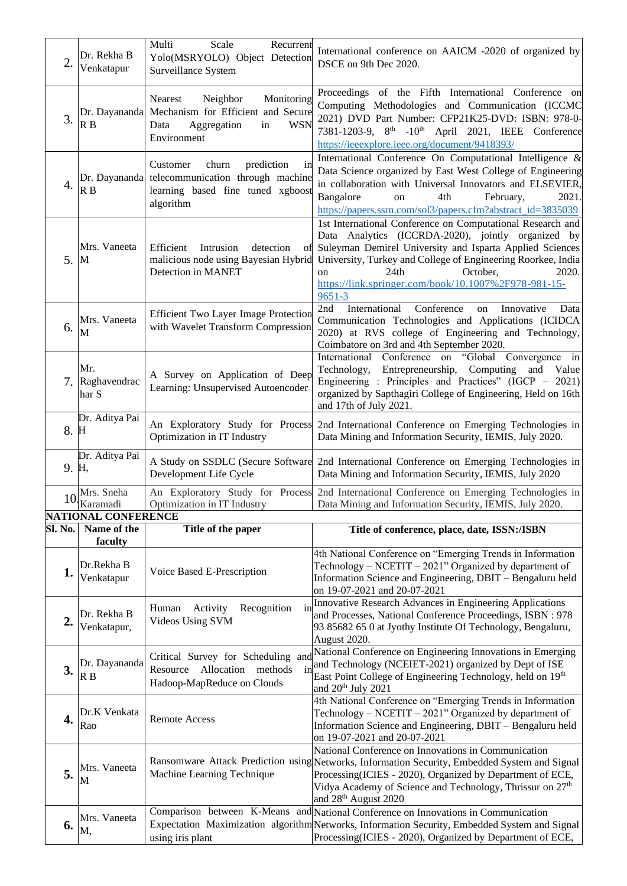| 2.      | Dr. Rekha B<br>Venkatapur                            | Multi<br>Scale<br>Recurrent<br>Yolo(MSRYOLO) Object Detection<br>Surveillance System                                                     | International conference on AAICM -2020 of organized by<br>DSCE on 9th Dec 2020.                                                                                                                                                                                                                                                                                                                                     |
|---------|------------------------------------------------------|------------------------------------------------------------------------------------------------------------------------------------------|----------------------------------------------------------------------------------------------------------------------------------------------------------------------------------------------------------------------------------------------------------------------------------------------------------------------------------------------------------------------------------------------------------------------|
| 3.      | Dr. Dayananda<br>R B                                 | Monitoring<br><b>Nearest</b><br>Neighbor<br>Mechanism for Efficient and Secure<br>Aggregation<br>Data<br><b>WSN</b><br>in<br>Environment | Proceedings of the Fifth International Conference on<br>Computing Methodologies and Communication (ICCMC<br>2021) DVD Part Number: CFP21K25-DVD: ISBN: 978-0-<br>7381-1203-9, 8 <sup>th</sup> -10 <sup>th</sup> April 2021, IEEE Conference<br>https://ieeexplore.ieee.org/document/9418393/                                                                                                                         |
| 4.      | Dr. Dayananda<br>R B                                 | prediction<br>churn<br>Customer<br>in<br>telecommunication through machine<br>learning based fine tuned xgboost<br>algorithm             | International Conference On Computational Intelligence &<br>Data Science organized by East West College of Engineering<br>in collaboration with Universal Innovators and ELSEVIER,<br>Bangalore<br>2021.<br>4th<br>February,<br>on<br>https://papers.ssrn.com/sol3/papers.cfm?abstract_id=3835039                                                                                                                    |
| 5.      | Mrs. Vaneeta<br>$\mathbf{M}$                         | Efficient<br>Intrusion<br>detection<br>οf<br>malicious node using Bayesian Hybrid<br>Detection in MANET                                  | 1st International Conference on Computational Research and<br>Data Analytics (ICCRDA-2020), jointly organized by<br>Suleyman Demirel University and Isparta Applied Sciences<br>University, Turkey and College of Engineering Roorkee, India<br>24th<br>October,<br>2020.<br>on<br>https://link.springer.com/book/10.1007%2F978-981-15-<br>$9651 - 3$                                                                |
| 6.      | Mrs. Vaneeta<br>M                                    | <b>Efficient Two Layer Image Protection</b><br>with Wavelet Transform Compression                                                        | International<br>Conference<br>2nd<br>Innovative<br>Data<br>on<br>Communication Technologies and Applications (ICIDCA<br>2020) at RVS college of Engineering and Technology,<br>Coimbatore on 3rd and 4th September 2020.<br>International<br>Conference on<br>"Global<br>Convergence in                                                                                                                             |
| 7.      | Mr.<br>Raghavendrac<br>har S                         | A Survey on Application of Deep<br>Learning: Unsupervised Autoencoder                                                                    | Entrepreneurship, Computing<br>Technology,<br>and Value<br>Engineering : Principles and Practices" (IGCP – 2021)<br>organized by Sapthagiri College of Engineering, Held on 16th<br>and 17th of July 2021.                                                                                                                                                                                                           |
| 8.      | Dr. Aditya Pai<br>H                                  | An Exploratory Study for Process<br>Optimization in IT Industry                                                                          | 2nd International Conference on Emerging Technologies in<br>Data Mining and Information Security, IEMIS, July 2020.                                                                                                                                                                                                                                                                                                  |
|         | Dr. Aditya Pai                                       |                                                                                                                                          | A Study on SSDLC (Secure Software 2nd International Conference on Emerging Technologies in                                                                                                                                                                                                                                                                                                                           |
|         | 9. H,                                                | Development Life Cycle                                                                                                                   | Data Mining and Information Security, IEMIS, July 2020                                                                                                                                                                                                                                                                                                                                                               |
| 10.     | Mrs. Sneha<br>Karamadi<br><b>NATIONAL CONFERENCE</b> | An Exploratory Study for Process<br>Optimization in IT Industry                                                                          | 2nd International Conference on Emerging Technologies in<br>Data Mining and Information Security, IEMIS, July 2020.                                                                                                                                                                                                                                                                                                  |
| Sl. No. | Name of the<br>faculty                               | Title of the paper                                                                                                                       | Title of conference, place, date, ISSN:/ISBN                                                                                                                                                                                                                                                                                                                                                                         |
| 1.      | Dr.Rekha B<br>Venkatapur                             | Voice Based E-Prescription                                                                                                               | 4th National Conference on "Emerging Trends in Information<br>Technology – NCETIT – 2021" Organized by department of<br>Information Science and Engineering, DBIT - Bengaluru held<br>on 19-07-2021 and 20-07-2021                                                                                                                                                                                                   |
| 2.      | Dr. Rekha B<br>Venkatapur,                           | Recognition<br>Human<br>Activity<br>in<br>Videos Using SVM                                                                               | Innovative Research Advances in Engineering Applications<br>and Processes, National Conference Proceedings, ISBN: 978<br>93 85682 65 0 at Jyothy Institute Of Technology, Bengaluru,<br>August 2020.                                                                                                                                                                                                                 |
| 3.      | Dr. Dayananda<br>R B                                 | in<br>Allocation<br>methods<br>Resource<br>Hadoop-MapReduce on Clouds                                                                    | Critical Survey for Scheduling and National Conference on Engineering Innovations in Emerging<br>and Technology (NCEIET-2021) organized by Dept of ISE<br>East Point College of Engineering Technology, held on 19th<br>and $20th$ July 2021                                                                                                                                                                         |
| 4.      | Dr.K Venkata<br>Rao                                  | <b>Remote Access</b>                                                                                                                     | 4th National Conference on "Emerging Trends in Information<br>Technology - NCETIT - 2021" Organized by department of<br>Information Science and Engineering, DBIT - Bengaluru held<br>on 19-07-2021 and 20-07-2021                                                                                                                                                                                                   |
| 5.      | Mrs. Vaneeta<br>M                                    | Machine Learning Technique                                                                                                               | National Conference on Innovations in Communication<br>Ransomware Attack Prediction using Networks, Information Security, Embedded System and Signal<br>Processing(ICIES - 2020), Organized by Department of ECE,<br>Vidya Academy of Science and Technology, Thrissur on 27 <sup>th</sup><br>and 28 <sup>th</sup> August 2020<br>Comparison between K-Means and National Conference on Innovations in Communication |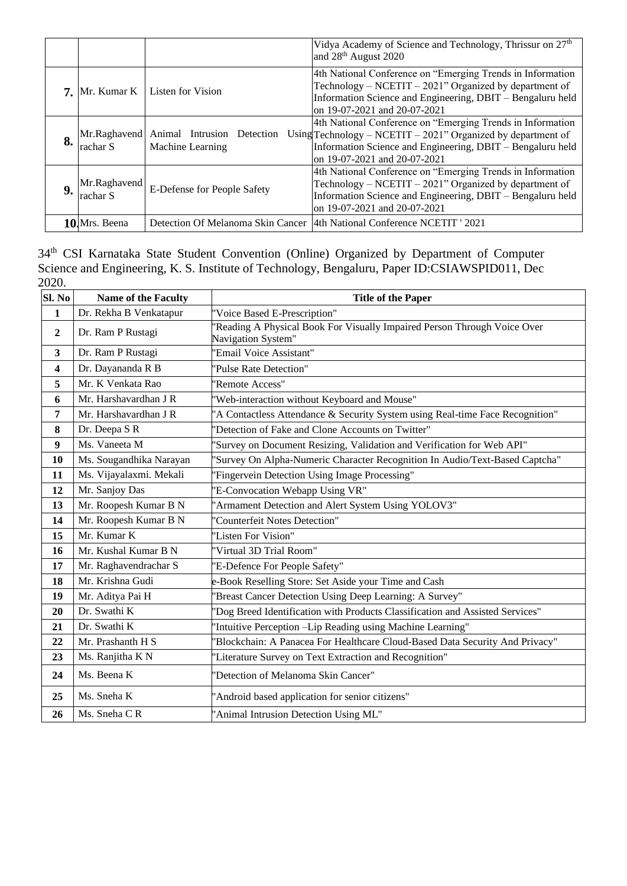|    |                          |                                                             | Vidya Academy of Science and Technology, Thrissur on 27 <sup>th</sup><br>and 28 <sup>th</sup> August 2020                                                                                                                    |
|----|--------------------------|-------------------------------------------------------------|------------------------------------------------------------------------------------------------------------------------------------------------------------------------------------------------------------------------------|
|    |                          | <b>7.</b> Mr. Kumar K   Listen for Vision                   | 4th National Conference on "Emerging Trends in Information<br>Technology – NCETIT – 2021" Organized by department of<br>Information Science and Engineering, DBIT – Bengaluru held<br>on 19-07-2021 and 20-07-2021           |
| 8. | rachar S                 | Mr.Raghavend Animal Intrusion Detection<br>Machine Learning | 4th National Conference on "Emerging Trends in Information<br>Using $Technology - NCEPTIT - 2021$ " Organized by department of<br>Information Science and Engineering, DBIT - Bengaluru held<br>on 19-07-2021 and 20-07-2021 |
| 9. | Mr.Raghavend<br>rachar S | E-Defense for People Safety                                 | 4th National Conference on "Emerging Trends in Information<br>Technology - NCETIT - 2021" Organized by department of<br>Information Science and Engineering, DBIT – Bengaluru held<br>on 19-07-2021 and 20-07-2021           |
|    | 10. Mrs. Beena           |                                                             | Detection Of Melanoma Skin Cancer   4th National Conference NCETIT ' 2021                                                                                                                                                    |

34<sup>th</sup> CSI Karnataka State Student Convention (Online) Organized by Department of Computer Science and Engineering, K. S. Institute of Technology, Bengaluru, Paper ID:CSIAWSPID011, Dec 2020.

| SI. No         | <b>Name of the Faculty</b> | <b>Title of the Paper</b>                                                                     |  |
|----------------|----------------------------|-----------------------------------------------------------------------------------------------|--|
| $\mathbf{1}$   | Dr. Rekha B Venkatapur     | 'Voice Based E-Prescription"                                                                  |  |
| $\overline{2}$ | Dr. Ram P Rustagi          | Reading A Physical Book For Visually Impaired Person Through Voice Over<br>Navigation System" |  |
| $\mathbf{3}$   | Dr. Ram P Rustagi          | 'Email Voice Assistant"                                                                       |  |
| 4              | Dr. Dayananda R B          | 'Pulse Rate Detection"                                                                        |  |
| 5              | Mr. K Venkata Rao          | 'Remote Access"                                                                               |  |
| 6              | Mr. Harshavardhan J R      | 'Web-interaction without Keyboard and Mouse"                                                  |  |
| 7              | Mr. Harshavardhan J R      | 'A Contactless Attendance & Security System using Real-time Face Recognition"                 |  |
| 8              | Dr. Deepa S R              | 'Detection of Fake and Clone Accounts on Twitter"                                             |  |
| 9              | Ms. Vaneeta M              | 'Survey on Document Resizing, Validation and Verification for Web API"                        |  |
| 10             | Ms. Sougandhika Narayan    | 'Survey On Alpha-Numeric Character Recognition In Audio/Text-Based Captcha"                   |  |
| 11             | Ms. Vijayalaxmi. Mekali    | <b>Fingervein Detection Using Image Processing"</b>                                           |  |
| 12             | Mr. Sanjoy Das             | 'E-Convocation Webapp Using VR"                                                               |  |
| 13             | Mr. Roopesh Kumar B N      | 'Armament Detection and Alert System Using YOLOV3"                                            |  |
| 14             | Mr. Roopesh Kumar B N      | 'Counterfeit Notes Detection"                                                                 |  |
| 15             | Mr. Kumar K                | 'Listen For Vision"                                                                           |  |
| 16             | Mr. Kushal Kumar B N       | 'Virtual 3D Trial Room"                                                                       |  |
| 17             | Mr. Raghavendrachar S      | 'E-Defence For People Safety"                                                                 |  |
| 18             | Mr. Krishna Gudi           | e-Book Reselling Store: Set Aside your Time and Cash                                          |  |
| 19             | Mr. Aditya Pai H           | 'Breast Cancer Detection Using Deep Learning: A Survey"                                       |  |
| 20             | Dr. Swathi K               | 'Dog Breed Identification with Products Classification and Assisted Services"                 |  |
| 21             | Dr. Swathi K               | 'Intuitive Perception -Lip Reading using Machine Learning"                                    |  |
| 22             | Mr. Prashanth H S          | 'Blockchain: A Panacea For Healthcare Cloud-Based Data Security And Privacy"                  |  |
| 23             | Ms. Ranjitha K N           | 'Literature Survey on Text Extraction and Recognition"                                        |  |
| 24             | Ms. Beena K                | 'Detection of Melanoma Skin Cancer"                                                           |  |
| 25             | Ms. Sneha K                | 'Android based application for senior citizens"                                               |  |
| 26             | Ms. Sneha CR               | 'Animal Intrusion Detection Using ML"                                                         |  |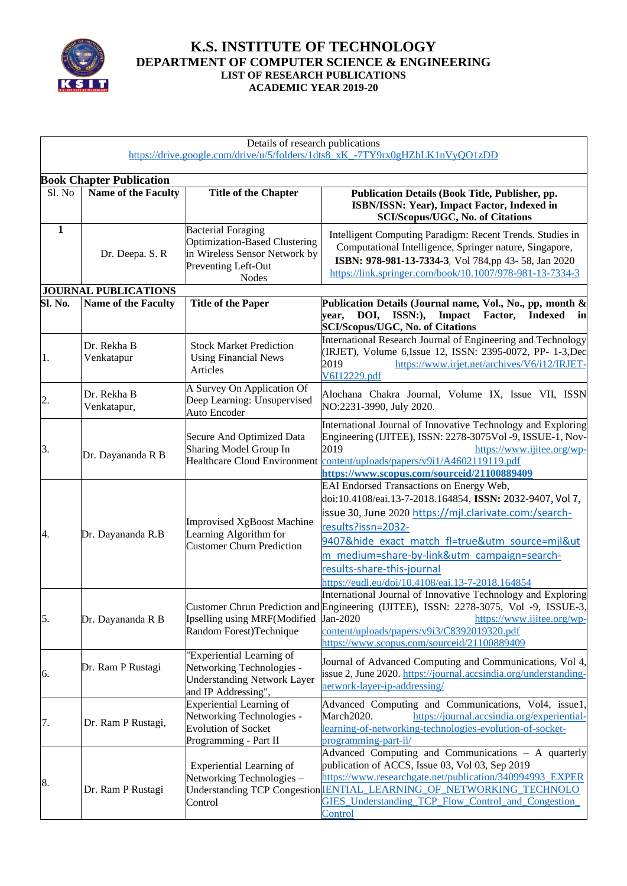

### **K.S. INSTITUTE OF TECHNOLOGY DEPARTMENT OF COMPUTER SCIENCE & ENGINEERING LIST OF RESEARCH PUBLICATIONS ACADEMIC YEAR 2019-20**

|              |                                                        | Details of research publications                                                                                                   | https://drive.google.com/drive/u/5/folders/1dts8_xK_-7TY9rx0gHZhLK1nVyQO1zDD                                                                                                                                                                                                                                                                                              |
|--------------|--------------------------------------------------------|------------------------------------------------------------------------------------------------------------------------------------|---------------------------------------------------------------------------------------------------------------------------------------------------------------------------------------------------------------------------------------------------------------------------------------------------------------------------------------------------------------------------|
|              |                                                        |                                                                                                                                    |                                                                                                                                                                                                                                                                                                                                                                           |
| Sl. No       | <b>Book Chapter Publication</b><br>Name of the Faculty | <b>Title of the Chapter</b>                                                                                                        | Publication Details (Book Title, Publisher, pp.<br>ISBN/ISSN: Year), Impact Factor, Indexed in<br>SCI/Scopus/UGC, No. of Citations                                                                                                                                                                                                                                        |
| $\mathbf{1}$ | Dr. Deepa. S. R                                        | <b>Bacterial Foraging</b><br>Optimization-Based Clustering<br>in Wireless Sensor Network by<br>Preventing Left-Out<br><b>Nodes</b> | Intelligent Computing Paradigm: Recent Trends. Studies in<br>Computational Intelligence, Springer nature, Singapore,<br>ISBN: 978-981-13-7334-3, Vol 784,pp 43-58, Jan 2020<br>https://link.springer.com/book/10.1007/978-981-13-7334-3                                                                                                                                   |
|              | <b>JOURNAL PUBLICATIONS</b>                            |                                                                                                                                    |                                                                                                                                                                                                                                                                                                                                                                           |
| Sl. No.      | Name of the Faculty                                    | <b>Title of the Paper</b>                                                                                                          | Publication Details (Journal name, Vol., No., pp, month &<br>DOI, ISSN:),<br>Impact<br>year,<br>Factor,<br><b>Indexed</b><br>in<br><b>SCI/Scopus/UGC, No. of Citations</b>                                                                                                                                                                                                |
| 1.           | Dr. Rekha B<br>Venkatapur                              | <b>Stock Market Prediction</b><br><b>Using Financial News</b><br>Articles                                                          | International Research Journal of Engineering and Technology<br>(IRJET), Volume 6, Issue 12, ISSN: 2395-0072, PP- 1-3, Dec<br>2019<br>https://www.irjet.net/archives/V6/i12/IRJET-<br>V6I12229.pdf                                                                                                                                                                        |
| 2.           | Dr. Rekha B<br>Venkatapur,                             | A Survey On Application Of<br>Deep Learning: Unsupervised<br><b>Auto Encoder</b>                                                   | Alochana Chakra Journal, Volume IX, Issue VII, ISSN<br>NO:2231-3990, July 2020.                                                                                                                                                                                                                                                                                           |
| 3.           | Dr. Dayananda R B                                      | <b>Secure And Optimized Data</b><br>Sharing Model Group In                                                                         | International Journal of Innovative Technology and Exploring<br>Engineering (IJITEE), ISSN: 2278-3075Vol -9, ISSUE-1, Nov-<br>2019<br>https://www.ijitee.org/wp-<br>Healthcare Cloud Environment content/uploads/papers/v9i1/A4602119119.pdf<br>https://www.scopus.com/sourceid/21100889409                                                                               |
| 4.           | Dr. Dayananda R.B                                      | <b>Improvised XgBoost Machine</b><br>Learning Algorithm for<br><b>Customer Churn Prediction</b>                                    | EAI Endorsed Transactions on Energy Web,<br>doi:10.4108/eai.13-7-2018.164854, ISSN: 2032-9407, Vol 7,<br>issue 30, June 2020 https://mjl.clarivate.com:/search-<br>results?issn=2032-<br>9407&hide exact match fl=true&utm source=mjl&ut<br>m medium=share-by-link&utm campaign=search-<br>results-share-this-journal<br>https://eudl.eu/doi/10.4108/eai.13-7-2018.164854 |
| 5.           | Dr. Dayananda R B                                      | Ipselling using MRF(Modified<br>Random Forest)Technique                                                                            | International Journal of Innovative Technology and Exploring<br>Customer Chrun Prediction and Engineering (IJITEE), ISSN: 2278-3075, Vol -9, ISSUE-3,<br>https://www.ijitee.org/wp-<br>Jan-2020<br>content/uploads/papers/v9i3/C8392019320.pdf<br>https://www.scopus.com/sourceid/21100889409                                                                             |
| 6.           | Dr. Ram P Rustagi                                      | 'Experiential Learning of<br>Networking Technologies -<br><b>Understanding Network Layer</b><br>and IP Addressing",                | Journal of Advanced Computing and Communications, Vol 4,<br>issue 2, June 2020. https://journal.accsindia.org/understanding-<br>network-layer-ip-addressing/                                                                                                                                                                                                              |
| 7.           | Dr. Ram P Rustagi,                                     | <b>Experiential Learning of</b><br>Networking Technologies -<br><b>Evolution of Socket</b><br>Programming - Part II                | Advanced Computing and Communications, Vol4, issue1,<br>March2020.<br>https://journal.accsindia.org/experiential-<br>learning-of-networking-technologies-evolution-of-socket-<br>programming-part-ii/                                                                                                                                                                     |
| 8.           | Dr. Ram P Rustagi                                      | <b>Experiential Learning of</b><br>Networking Technologies -<br><b>Understanding TCP Congestion</b><br>Control                     | Advanced Computing and Communications - A quarterly<br>publication of ACCS, Issue 03, Vol 03, Sep 2019<br>https://www.researchgate.net/publication/340994993 EXPER<br><b>IENTIAL LEARNING OF NETWORKING TECHNOLO</b><br>GIES Understanding TCP Flow Control and Congestion<br><b>Control</b>                                                                              |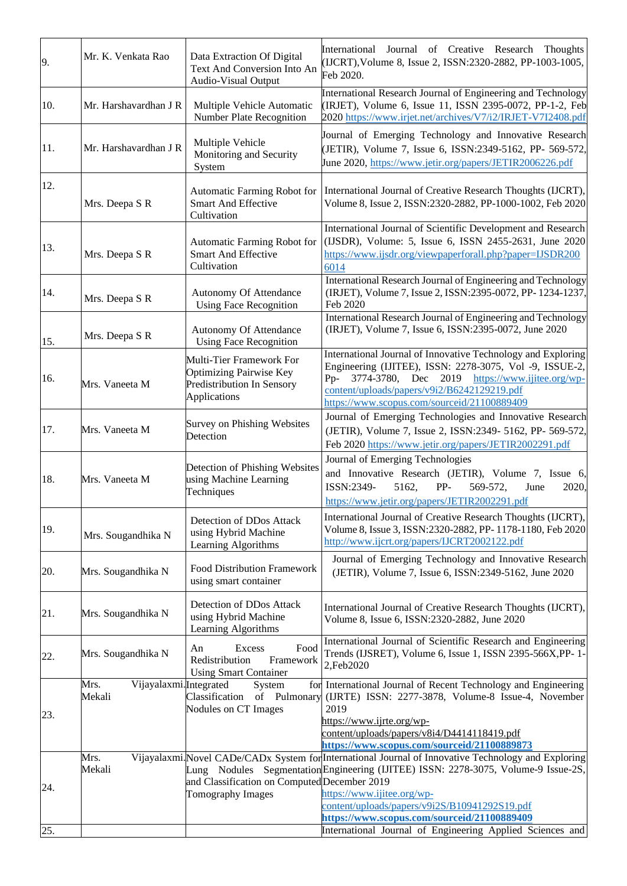| 9.  | Mr. K. Venkata Rao                       | Data Extraction Of Digital<br>Text And Conversion Into An<br>Audio-Visual Output                         | International Journal of Creative Research Thoughts<br>(IJCRT), Volume 8, Issue 2, ISSN:2320-2882, PP-1003-1005,<br>Feb 2020.                                                                                                                                                                                                                                                                                                                       |
|-----|------------------------------------------|----------------------------------------------------------------------------------------------------------|-----------------------------------------------------------------------------------------------------------------------------------------------------------------------------------------------------------------------------------------------------------------------------------------------------------------------------------------------------------------------------------------------------------------------------------------------------|
| 10. | Mr. Harshavardhan J R                    | Multiple Vehicle Automatic<br>Number Plate Recognition                                                   | International Research Journal of Engineering and Technology<br>(IRJET), Volume 6, Issue 11, ISSN 2395-0072, PP-1-2, Feb<br>2020 https://www.irjet.net/archives/V7/i2/IRJET-V7I2408.pdf                                                                                                                                                                                                                                                             |
| 11. | Mr. Harshavardhan J R                    | Multiple Vehicle<br>Monitoring and Security<br>System                                                    | Journal of Emerging Technology and Innovative Research<br>(JETIR), Volume 7, Issue 6, ISSN:2349-5162, PP- 569-572,<br>June 2020, https://www.jetir.org/papers/JETIR2006226.pdf                                                                                                                                                                                                                                                                      |
| 12. | Mrs. Deepa S R                           | Automatic Farming Robot for<br>Smart And Effective<br>Cultivation                                        | International Journal of Creative Research Thoughts (IJCRT),<br>Volume 8, Issue 2, ISSN:2320-2882, PP-1000-1002, Feb 2020                                                                                                                                                                                                                                                                                                                           |
| 13. | Mrs. Deepa S R                           | Automatic Farming Robot for<br><b>Smart And Effective</b><br>Cultivation                                 | International Journal of Scientific Development and Research<br>(IJSDR), Volume: 5, Issue 6, ISSN 2455-2631, June 2020<br>https://www.ijsdr.org/viewpaperforall.php?paper=IJSDR200<br>6014                                                                                                                                                                                                                                                          |
| 14. | Mrs. Deepa S R                           | Autonomy Of Attendance<br><b>Using Face Recognition</b>                                                  | International Research Journal of Engineering and Technology<br>(IRJET), Volume 7, Issue 2, ISSN:2395-0072, PP-1234-1237,<br>Feb 2020                                                                                                                                                                                                                                                                                                               |
| 15. | Mrs. Deepa S R                           | Autonomy Of Attendance<br><b>Using Face Recognition</b>                                                  | International Research Journal of Engineering and Technology<br>(IRJET), Volume 7, Issue 6, ISSN:2395-0072, June 2020                                                                                                                                                                                                                                                                                                                               |
| 16. | Mrs. Vaneeta M                           | Multi-Tier Framework For<br><b>Optimizing Pairwise Key</b><br>Predistribution In Sensory<br>Applications | International Journal of Innovative Technology and Exploring<br>Engineering (IJITEE), ISSN: 2278-3075, Vol -9, ISSUE-2,<br>Pp- 3774-3780, Dec 2019 https://www.ijitee.org/wp-<br>content/uploads/papers/v9i2/B6242129219.pdf<br>https://www.scopus.com/sourceid/21100889409                                                                                                                                                                         |
| 17. | Mrs. Vaneeta M                           | Survey on Phishing Websites<br>Detection                                                                 | Journal of Emerging Technologies and Innovative Research<br>(JETIR), Volume 7, Issue 2, ISSN:2349- 5162, PP- 569-572,<br>Feb 2020 https://www.jetir.org/papers/JETIR2002291.pdf                                                                                                                                                                                                                                                                     |
| 18. | Mrs. Vaneeta M                           | Detection of Phishing Websites<br>using Machine Learning<br>Techniques                                   | Journal of Emerging Technologies<br>and Innovative Research (JETIR), Volume 7, Issue 6,<br>ISSN:2349-<br>5162,<br>PP-<br>569-572,<br>June<br>2020,<br>https://www.jetir.org/papers/JETIR2002291.pdf                                                                                                                                                                                                                                                 |
| 19. | Mrs. Sougandhika N                       | Detection of DDos Attack<br>using Hybrid Machine<br>Learning Algorithms                                  | International Journal of Creative Research Thoughts (IJCRT),<br>Volume 8, Issue 3, ISSN:2320-2882, PP-1178-1180, Feb 2020<br>http://www.ijcrt.org/papers/IJCRT2002122.pdf                                                                                                                                                                                                                                                                           |
| 20. | Mrs. Sougandhika N                       | <b>Food Distribution Framework</b><br>using smart container                                              | Journal of Emerging Technology and Innovative Research<br>(JETIR), Volume 7, Issue 6, ISSN:2349-5162, June 2020                                                                                                                                                                                                                                                                                                                                     |
| 21. | Mrs. Sougandhika N                       | Detection of DDos Attack<br>using Hybrid Machine<br>Learning Algorithms                                  | International Journal of Creative Research Thoughts (IJCRT),<br>Volume 8, Issue 6, ISSN:2320-2882, June 2020                                                                                                                                                                                                                                                                                                                                        |
| 22. | Mrs. Sougandhika N                       | Food<br>Excess<br>An<br>Redistribution<br>Framework<br><b>Using Smart Container</b>                      | International Journal of Scientific Research and Engineering<br>Trends (IJSRET), Volume 6, Issue 1, ISSN 2395-566X, PP-1-<br>2,Feb2020                                                                                                                                                                                                                                                                                                              |
| 23. | Mrs.<br>Vijayalaxmi.Integrated<br>Mekali | System<br>Classification<br>of Pulmonary<br>Nodules on CT Images                                         | for International Journal of Recent Technology and Engineering<br>(IJRTE) ISSN: 2277-3878, Volume-8 Issue-4, November<br>2019                                                                                                                                                                                                                                                                                                                       |
| 24. | Mrs.<br>Mekali                           | and Classification on Computed December 2019<br>Tomography Images                                        | https://www.ijrte.org/wp-<br>content/uploads/papers/v8i4/D4414118419.pdf<br>https://www.scopus.com/sourceid/21100889873<br>Vijayalaxmi. Novel CADe/CADx System for International Journal of Innovative Technology and Exploring<br>Lung Nodules Segmentation Engineering (IJITEE) ISSN: 2278-3075, Volume-9 Issue-2S,<br>https://www.ijitee.org/wp-<br>content/uploads/papers/v9i2S/B10941292S19.pdf<br>https://www.scopus.com/sourceid/21100889409 |
| 25. |                                          |                                                                                                          | International Journal of Engineering Applied Sciences and                                                                                                                                                                                                                                                                                                                                                                                           |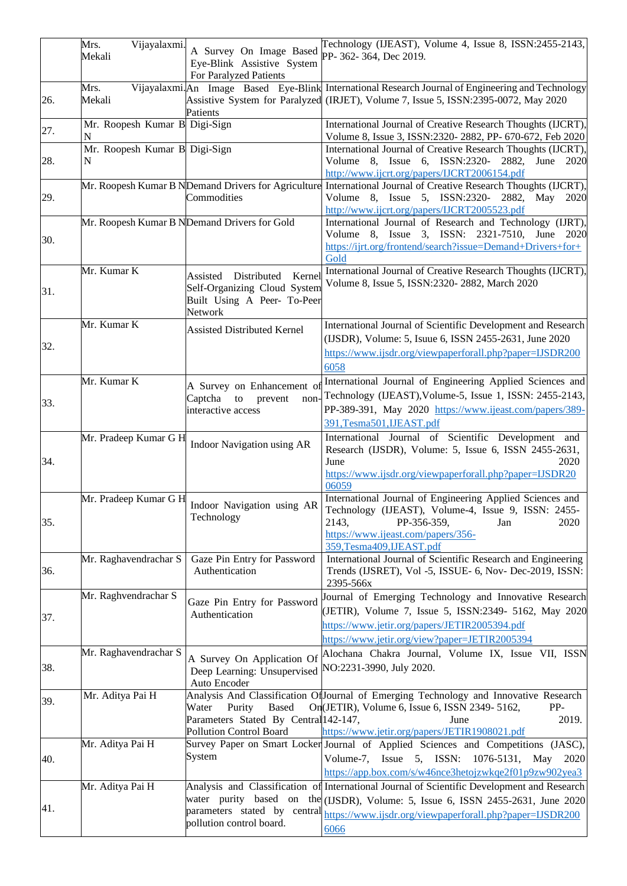|     | Vijayalaxmi.<br>Mrs.               | A Survey On Image Based                                                                             | Technology (IJEAST), Volume 4, Issue 8, ISSN:2455-2143,                                                                                                                                                               |
|-----|------------------------------------|-----------------------------------------------------------------------------------------------------|-----------------------------------------------------------------------------------------------------------------------------------------------------------------------------------------------------------------------|
|     | Mekali                             | Eye-Blink Assistive System<br>For Paralyzed Patients                                                | PP- 362-364, Dec 2019.                                                                                                                                                                                                |
|     | Mrs.                               |                                                                                                     | Vijayalaxmi. An Image Based Eye-Blink International Research Journal of Engineering and Technology                                                                                                                    |
| 26. | Mekali                             | Patients                                                                                            | Assistive System for Paralyzed (IRJET), Volume 7, Issue 5, ISSN:2395-0072, May 2020                                                                                                                                   |
| 27. | Mr. Roopesh Kumar B Digi-Sign<br>N |                                                                                                     | International Journal of Creative Research Thoughts (IJCRT),<br>Volume 8, Issue 3, ISSN:2320-2882, PP-670-672, Feb 2020                                                                                               |
| 28. | Mr. Roopesh Kumar B Digi-Sign<br>N |                                                                                                     | International Journal of Creative Research Thoughts (IJCRT),<br>Volume 8, Issue 6, ISSN:2320- 2882,<br>June 2020<br>http://www.ijcrt.org/papers/IJCRT2006154.pdf                                                      |
| 29. |                                    | Commodities                                                                                         | Mr. Roopesh Kumar B NDemand Drivers for Agriculture International Journal of Creative Research Thoughts (IJCRT),<br>Volume 8, Issue 5, ISSN:2320- 2882, May 2020<br>http://www.ijcrt.org/papers/IJCRT2005523.pdf      |
| 30. |                                    | Mr. Roopesh Kumar B NDemand Drivers for Gold                                                        | International Journal of Research and Technology (IJRT),<br>Volume 8, Issue<br>3, ISSN: 2321-7510,<br>June<br>- 2020<br>https://ijrt.org/frontend/search?issue=Demand+Drivers+for+<br>Gold                            |
|     | Mr. Kumar K                        | Distributed<br>Kernel<br>Assisted                                                                   | International Journal of Creative Research Thoughts (IJCRT),                                                                                                                                                          |
| 31. |                                    | Self-Organizing Cloud System<br>Built Using A Peer- To-Peer<br>Network                              | Volume 8, Issue 5, ISSN:2320-2882, March 2020                                                                                                                                                                         |
| 32. | Mr. Kumar K                        | <b>Assisted Distributed Kernel</b>                                                                  | International Journal of Scientific Development and Research<br>(IJSDR), Volume: 5, Isuue 6, ISSN 2455-2631, June 2020<br>https://www.ijsdr.org/viewpaperforall.php?paper=IJSDR200                                    |
|     |                                    |                                                                                                     | 6058                                                                                                                                                                                                                  |
| 33. | Mr. Kumar K                        | A Survey on Enhancement of<br>Captcha<br>to<br>prevent<br>interactive access                        | International Journal of Engineering Applied Sciences and<br>non-<br>Technology (IJEAST), Volume-5, Issue 1, ISSN: 2455-2143,<br>PP-389-391, May 2020 https://www.ijeast.com/papers/389-<br>391, Tesma501, IJEAST.pdf |
| 34. | Mr. Pradeep Kumar G H              | Indoor Navigation using AR                                                                          | International Journal of Scientific Development and<br>Research (IJSDR), Volume: 5, Issue 6, ISSN 2455-2631,<br>June<br>2020<br>https://www.ijsdr.org/viewpaperforall.php?paper=IJSDR20<br>06059                      |
| 35. | Mr. Pradeep Kumar G H              | Indoor Navigation using AR<br>Technology                                                            | International Journal of Engineering Applied Sciences and<br>Technology (IJEAST), Volume-4, Issue 9, ISSN: 2455-<br>2143,<br>PP-356-359,<br>Jan<br>2020<br>https://www.ijeast.com/papers/356-                         |
| 36. | Mr. Raghavendrachar S              | Gaze Pin Entry for Password<br>Authentication                                                       | 359,Tesma409,IJEAST.pdf<br>International Journal of Scientific Research and Engineering<br>Trends (IJSRET), Vol -5, ISSUE- 6, Nov- Dec-2019, ISSN:<br>2395-566x                                                       |
| 37. | Mr. Raghvendrachar S               | Gaze Pin Entry for Password<br>Authentication                                                       | Journal of Emerging Technology and Innovative Research<br>(JETIR), Volume 7, Issue 5, ISSN:2349- 5162, May 2020<br>https://www.jetir.org/papers/JETIR2005394.pdf<br>https://www.jetir.org/view?paper=JETIR2005394     |
| 38. | Mr. Raghavendrachar S              | A Survey On Application Of<br>Deep Learning: Unsupervised<br>Auto Encoder                           | Alochana Chakra Journal, Volume IX, Issue VII, ISSN<br>NO:2231-3990, July 2020.                                                                                                                                       |
| 39. | Mr. Aditya Pai H                   | Purity<br><b>Based</b><br>Water<br>Parameters Stated By Central 142-147,<br>Pollution Control Board | Analysis And Classification Of Journal of Emerging Technology and Innovative Research<br>On(JETIR), Volume 6, Issue 6, ISSN 2349-5162,<br>$PP-$<br>2019.<br>June<br>https://www.jetir.org/papers/JETIR1908021.pdf     |
|     | Mr. Aditya Pai H                   |                                                                                                     | Survey Paper on Smart Locker Journal of Applied Sciences and Competitions (JASC),                                                                                                                                     |
| 40. |                                    | System                                                                                              | Volume-7, Issue 5, ISSN: 1076-5131, May<br>2020<br>https://app.box.com/s/w46nce3hetojzwkqe2f01p9zw902yea3                                                                                                             |
|     | Mr. Aditya Pai H                   |                                                                                                     | Analysis and Classification of International Journal of Scientific Development and Research                                                                                                                           |
| 41. |                                    | parameters stated by central<br>pollution control board.                                            | water purity based on the (IJSDR), Volume: 5, Issue 6, ISSN 2455-2631, June 2020<br>https://www.ijsdr.org/viewpaperforall.php?paper=IJSDR200<br>6066                                                                  |
|     |                                    |                                                                                                     |                                                                                                                                                                                                                       |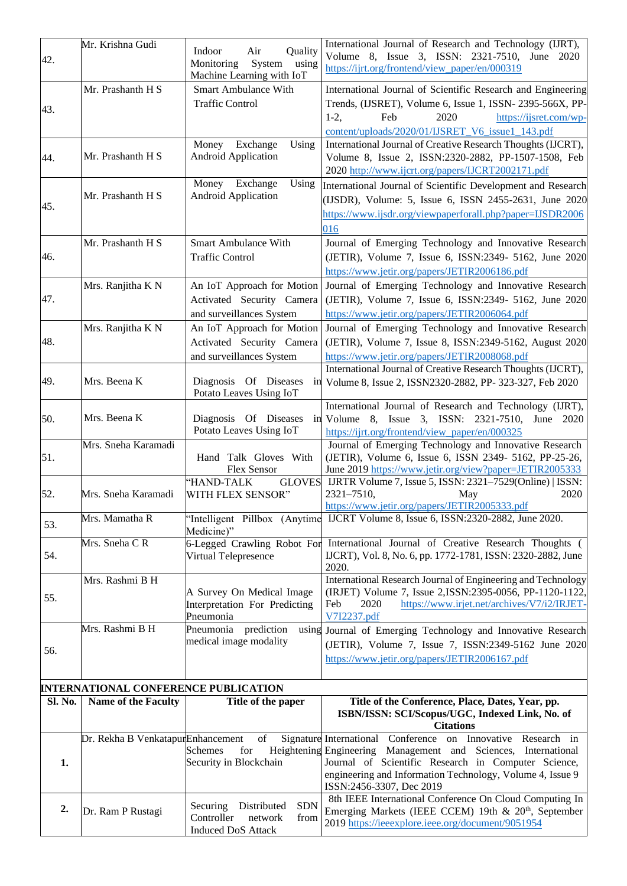| 42. | Mr. Krishna Gudi                            | Indoor<br>Air<br>Quality<br>Monitoring<br>System<br>using<br>Machine Learning with IoT | International Journal of Research and Technology (IJRT),<br>Volume 8, Issue 3, ISSN: 2321-7510, June 2020<br>https://ijrt.org/frontend/view_paper/en/000319                                                                     |
|-----|---------------------------------------------|----------------------------------------------------------------------------------------|---------------------------------------------------------------------------------------------------------------------------------------------------------------------------------------------------------------------------------|
| 43. | Mr. Prashanth H S                           | <b>Smart Ambulance With</b><br><b>Traffic Control</b>                                  | International Journal of Scientific Research and Engineering<br>Trends, (IJSRET), Volume 6, Issue 1, ISSN-2395-566X, PP-<br>$1-2,$<br>Feb<br>2020<br>https://ijsret.com/wp-<br>content/uploads/2020/01/IJSRET V6 issue1 143.pdf |
| 44. | Mr. Prashanth H S                           | Money<br>Exchange<br>Using<br><b>Android Application</b>                               | International Journal of Creative Research Thoughts (IJCRT),<br>Volume 8, Issue 2, ISSN:2320-2882, PP-1507-1508, Feb<br>2020 http://www.ijcrt.org/papers/IJCRT2002171.pdf                                                       |
| 45. | Mr. Prashanth H S                           | Money<br>Exchange<br>Using<br><b>Android Application</b>                               | International Journal of Scientific Development and Research<br>(IJSDR), Volume: 5, Issue 6, ISSN 2455-2631, June 2020<br>https://www.ijsdr.org/viewpaperforall.php?paper=IJSDR2006<br>016                                      |
| 46. | Mr. Prashanth H S                           | Smart Ambulance With<br><b>Traffic Control</b>                                         | Journal of Emerging Technology and Innovative Research<br>(JETIR), Volume 7, Issue 6, ISSN:2349- 5162, June 2020<br>https://www.jetir.org/papers/JETIR2006186.pdf                                                               |
| 47. | Mrs. Ranjitha K N                           | An IoT Approach for Motion<br>Activated Security Camera<br>and surveillances System    | Journal of Emerging Technology and Innovative Research<br>(JETIR), Volume 7, Issue 6, ISSN:2349- 5162, June 2020<br>https://www.jetir.org/papers/JETIR2006064.pdf                                                               |
| 48. | Mrs. Ranjitha K N                           | An IoT Approach for Motion<br>Activated Security Camera<br>and surveillances System    | Journal of Emerging Technology and Innovative Research<br>(JETIR), Volume 7, Issue 8, ISSN:2349-5162, August 2020<br>https://www.jetir.org/papers/JETIR2008068.pdf                                                              |
| 49. | Mrs. Beena K                                | Diagnosis Of Diseases<br>Potato Leaves Using IoT                                       | International Journal of Creative Research Thoughts (IJCRT),<br>in Volume 8, Issue 2, ISSN2320-2882, PP- 323-327, Feb 2020                                                                                                      |
| 50. | Mrs. Beena K                                | Diagnosis Of Diseases<br>Potato Leaves Using IoT                                       | International Journal of Research and Technology (IJRT),<br>in Volume 8, Issue 3, ISSN: 2321-7510,<br>June 2020<br>https://ijrt.org/frontend/view_paper/en/000325                                                               |
| 51. | Mrs. Sneha Karamadi                         | Hand Talk Gloves With<br>Flex Sensor                                                   | Journal of Emerging Technology and Innovative Research<br>(JETIR), Volume 6, Issue 6, ISSN 2349- 5162, PP-25-26,<br>June 2019 https://www.jetir.org/view?paper=JETIR2005333                                                     |
| 52. | Mrs. Sneha Karamadi                         | 'HAND-TALK<br><b>GLOVES</b><br>WITH FLEX SENSOR"                                       | IJRTR Volume 7, Issue 5, ISSN: 2321-7529(Online)   ISSN:<br>2321-7510,<br>2020<br>May<br>https://www.jetir.org/papers/JETIR2005333.pdf                                                                                          |
| 53. | Mrs. Mamatha R                              | Medicine)"                                                                             | "Intelligent Pillbox (Anytime IJCRT Volume 8, Issue 6, ISSN:2320-2882, June 2020.                                                                                                                                               |
| 54. | Mrs. Sneha CR                               | Virtual Telepresence                                                                   | 6-Legged Crawling Robot For International Journal of Creative Research Thoughts (<br>IJCRT), Vol. 8, No. 6, pp. 1772-1781, ISSN: 2320-2882, June<br>2020.                                                                       |
| 55. | Mrs. Rashmi B H                             | A Survey On Medical Image<br>Interpretation For Predicting<br>Pneumonia                | International Research Journal of Engineering and Technology<br>(IRJET) Volume 7, Issue 2, ISSN: 2395-0056, PP-1120-1122,<br>https://www.irjet.net/archives/V7/i2/IRJET-<br>Feb<br>2020<br>V7I2237.pdf                          |
| 56. | Mrs. Rashmi B H                             | Pneumonia prediction<br>medical image modality                                         | using Journal of Emerging Technology and Innovative Research<br>(JETIR), Volume 7, Issue 7, ISSN:2349-5162 June 2020<br>https://www.jetir.org/papers/JETIR2006167.pdf                                                           |
|     | <b>INTERNATIONAL CONFERENCE PUBLICATION</b> |                                                                                        |                                                                                                                                                                                                                                 |

# **INTERNATIONAL CONFERENCE PUBLICATION**

| Sl. No. | <b>Name of the Faculty</b>           | Title of the paper                    | Title of the Conference, Place, Dates, Year, pp.                 |
|---------|--------------------------------------|---------------------------------------|------------------------------------------------------------------|
|         |                                      |                                       | ISBN/ISSN: SCI/Scopus/UGC, Indexed Link, No. of                  |
|         |                                      |                                       | <b>Citations</b>                                                 |
|         | Dr. Rekha B VenkatapurEnhancement of |                                       | Signature International Conference on Innovative Research in     |
|         |                                      | Schemes for                           | Heightening Engineering Management and Sciences, International   |
|         |                                      | Security in Blockchain                | Journal of Scientific Research in Computer Science,              |
|         |                                      |                                       | engineering and Information Technology, Volume 4, Issue 9        |
|         |                                      |                                       | ISSN:2456-3307, Dec 2019                                         |
|         |                                      | <b>SDN</b>                            | 8th IEEE International Conference On Cloud Computing In          |
|         | Dr. Ram P Rustagi                    | Distributed<br>Securing<br>Controller | Emerging Markets (IEEE CCEM) 19th & 20 <sup>th</sup> , September |
|         |                                      | network<br>from                       | 2019 https://ieeexplore.ieee.org/document/9051954                |
|         |                                      | <b>Induced DoS Attack</b>             |                                                                  |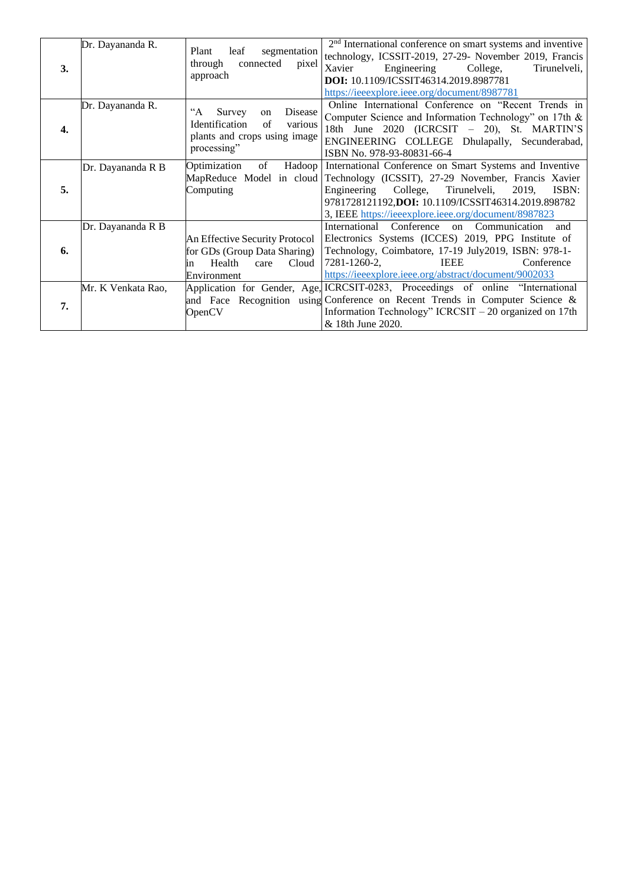| 3.               | Dr. Dayananda R.   | leaf<br>segmentation<br>Plant<br>connected<br>through<br>pixel<br>approach                                                    | $2nd$ International conference on smart systems and inventive<br>technology, ICSSIT-2019, 27-29- November 2019, Francis<br>Engineering<br>College,<br>Xavier<br>Tirunelveli,<br>DOI: 10.1109/ICSSIT46314.2019.8987781<br>https://ieeexplore.ieee.org/document/8987781            |
|------------------|--------------------|-------------------------------------------------------------------------------------------------------------------------------|----------------------------------------------------------------------------------------------------------------------------------------------------------------------------------------------------------------------------------------------------------------------------------|
| $\overline{4}$ . | Dr. Dayananda R.   | $A^{\cdot\cdot}$<br>Disease<br>Survey<br>on<br>Identification<br>of<br>various<br>plants and crops using image<br>processing" | Online International Conference on "Recent Trends in<br>Computer Science and Information Technology" on 17th &<br>18th June 2020 (ICRCSIT – 20), St. MARTIN'S<br>ENGINEERING COLLEGE Dhulapally, Secunderabad,<br>ISBN No. 978-93-80831-66-4                                     |
| 5.               | Dr. Dayananda R B  | Optimization<br>of<br>Hadoop<br>MapReduce Model in cloud<br>Computing                                                         | International Conference on Smart Systems and Inventive<br>Technology (ICSSIT), 27-29 November, Francis Xavier<br>Engineering College, Tirunelveli, 2019,<br>ISBN:<br>9781728121192,DOI: 10.1109/ICSSIT46314.2019.898782<br>3, IEEE https://ieeexplore.ieee.org/document/8987823 |
| 6.               | Dr. Dayananda R B  | An Effective Security Protocol<br>for GDs (Group Data Sharing)<br>Health<br>Cloud<br>care<br>li n<br>Environment              | International Conference<br>on Communication<br>and<br>Electronics Systems (ICCES) 2019, PPG Institute of<br>Technology, Coimbatore, 17-19 July2019, ISBN: 978-1-<br>7281-1260-2,<br><b>IEEE</b><br>Conference<br>https://ieeexplore.ieee.org/abstract/document/9002033          |
| 7.               | Mr. K Venkata Rao, | OpenCV                                                                                                                        | Application for Gender, Age, ICRCSIT-0283, Proceedings of online "International<br>and Face Recognition using Conference on Recent Trends in Computer Science &<br>Information Technology" ICRCSIT - 20 organized on 17th<br>& 18th June 2020.                                   |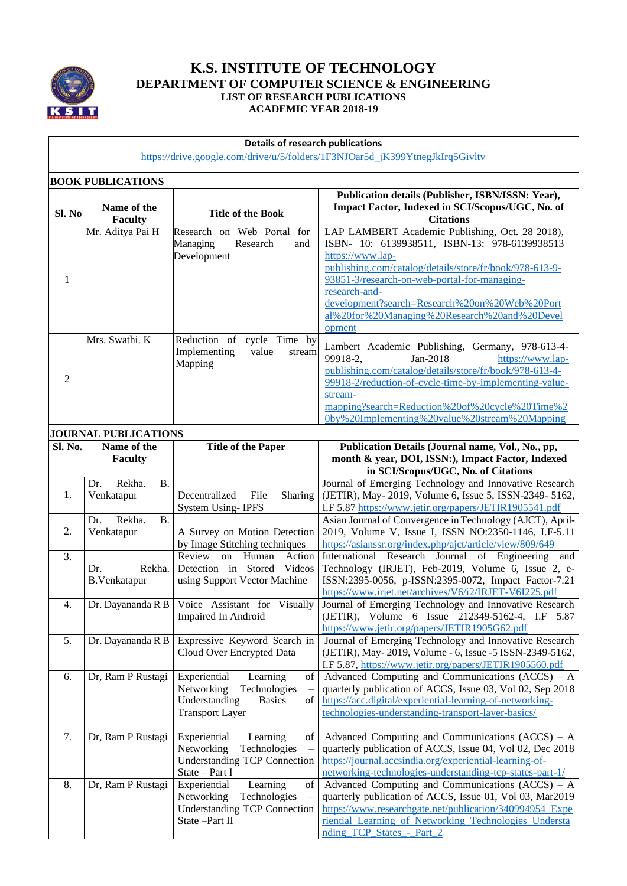

### **K.S. INSTITUTE OF TECHNOLOGY DEPARTMENT OF COMPUTER SCIENCE & ENGINEERING LIST OF RESEARCH PUBLICATIONS ACADEMIC YEAR 2018-19**

#### **Details of research publications**

[https://drive.google.com/drive/u/5/folders/1F3NJOar5d\\_jK399YtnegJkIrq5Givltv](https://drive.google.com/drive/u/5/folders/1F3NJOar5d_jK399YtnegJkIrq5Givltv)

|                  | <b>BOOK PUBLICATIONS</b>                 |                                                                                                                                |                                                                                                                                                                                                                                                                                                                                                             |
|------------------|------------------------------------------|--------------------------------------------------------------------------------------------------------------------------------|-------------------------------------------------------------------------------------------------------------------------------------------------------------------------------------------------------------------------------------------------------------------------------------------------------------------------------------------------------------|
| Sl. No           | Name of the<br><b>Faculty</b>            | <b>Title of the Book</b>                                                                                                       | Publication details (Publisher, ISBN/ISSN: Year),<br>Impact Factor, Indexed in SCI/Scopus/UGC, No. of<br><b>Citations</b>                                                                                                                                                                                                                                   |
| 1                | Mr. Aditya Pai H                         | Research on Web Portal for<br>Managing<br>Research<br>and<br>Development                                                       | LAP LAMBERT Academic Publishing, Oct. 28 2018),<br>ISBN- 10: 6139938511, ISBN-13: 978-6139938513<br>https://www.lap-<br>publishing.com/catalog/details/store/fr/book/978-613-9-<br>93851-3/research-on-web-portal-for-managing-<br>research-and-<br>development?search=Research%20on%20Web%20Port<br>al%20for%20Managing%20Research%20and%20Devel<br>opment |
| 2                | Mrs. Swathi. K                           | Reduction of<br>cycle Time by<br>Implementing<br>value<br>stream<br>Mapping                                                    | Lambert Academic Publishing, Germany, 978-613-4-<br>99918-2,<br>Jan-2018<br>https://www.lap-<br>publishing.com/catalog/details/store/fr/book/978-613-4-<br>99918-2/reduction-of-cycle-time-by-implementing-value-<br>stream-<br>mapping?search=Reduction%20of%20cycle%20Time%2<br>0by%20Implementing%20value%20stream%20Mapping                             |
|                  | <b>JOURNAL PUBLICATIONS</b>              |                                                                                                                                |                                                                                                                                                                                                                                                                                                                                                             |
| Sl. No.          | Name of the<br>Faculty                   | <b>Title of the Paper</b>                                                                                                      | Publication Details (Journal name, Vol., No., pp,<br>month & year, DOI, ISSN:), Impact Factor, Indexed<br>in SCI/Scopus/UGC, No. of Citations                                                                                                                                                                                                               |
| 1.               | <b>B.</b><br>Rekha.<br>Dr.<br>Venkatapur | Decentralized<br>File<br><b>Sharing</b><br><b>System Using-IPFS</b>                                                            | Journal of Emerging Technology and Innovative Research<br>(JETIR), May-2019, Volume 6, Issue 5, ISSN-2349-5162,<br>I.F 5.87 https://www.jetir.org/papers/JETIR1905541.pdf                                                                                                                                                                                   |
| 2.               | Rekha.<br><b>B.</b><br>Dr.<br>Venkatapur | A Survey on Motion Detection<br>by Image Stitching techniques                                                                  | Asian Journal of Convergence in Technology (AJCT), April-<br>2019, Volume V, Issue I, ISSN NO:2350-1146, I.F-5.11<br>https://asianssr.org/index.php/ajct/article/view/809/649                                                                                                                                                                               |
| 3.               | Dr.<br>Rekha.<br><b>B.Venkatapur</b>     | Review on Human<br>Action<br>Detection in Stored Videos<br>using Support Vector Machine                                        | International Research Journal of Engineering and<br>Technology (IRJET), Feb-2019, Volume 6, Issue 2, e-<br>ISSN:2395-0056, p-ISSN:2395-0072, Impact Factor-7.21<br>https://www.irjet.net/archives/V6/i2/IRJET-V6I225.pdf                                                                                                                                   |
| $\overline{4}$ . | Dr. Dayananda R B                        | Voice Assistant for Visually<br>Impaired In Android                                                                            | Journal of Emerging Technology and Innovative Research<br>(JETIR), Volume 6 Issue 212349-5162-4, I.F 5.87<br>https://www.jetir.org/papers/JETIR1905G62.pdf                                                                                                                                                                                                  |
| 5.               |                                          | Dr. Dayananda R B   Expressive Keyword Search in<br>Cloud Over Encrypted Data                                                  | Journal of Emerging Technology and Innovative Research<br>(JETIR), May-2019, Volume - 6, Issue - 5 ISSN-2349-5162,<br>I.F 5.87, https://www.jetir.org/papers/JETIR1905560.pdf                                                                                                                                                                               |
| 6.               | Dr, Ram P Rustagi                        | Experiential<br>Learning<br>of<br>Networking<br>Technologies<br>Understanding<br><b>Basics</b><br>of<br><b>Transport Layer</b> | Advanced Computing and Communications $(ACCS) - A$<br>quarterly publication of ACCS, Issue 03, Vol 02, Sep 2018<br>https://acc.digital/experiential-learning-of-networking-<br>technologies-understanding-transport-layer-basics/                                                                                                                           |
| 7.               | Dr, Ram P Rustagi                        | Experiential<br>Learning<br>of<br>Networking<br>Technologies<br><b>Understanding TCP Connection</b><br>State - Part I          | Advanced Computing and Communications $(ACCS) - A$<br>quarterly publication of ACCS, Issue 04, Vol 02, Dec 2018<br>https://journal.accsindia.org/experiential-learning-of-<br>networking-technologies-understanding-tcp-states-part-1/                                                                                                                      |
| 8.               | Dr, Ram P Rustagi                        | Learning<br>Experiential<br>of<br>Networking<br>Technologies<br><b>Understanding TCP Connection</b><br>State -Part II          | Advanced Computing and Communications $(ACCS) - A$<br>quarterly publication of ACCS, Issue 01, Vol 03, Mar2019<br>https://www.researchgate.net/publication/340994954 Expe<br>riential Learning of Networking Technologies Understa<br>nding TCP States - Part 2                                                                                             |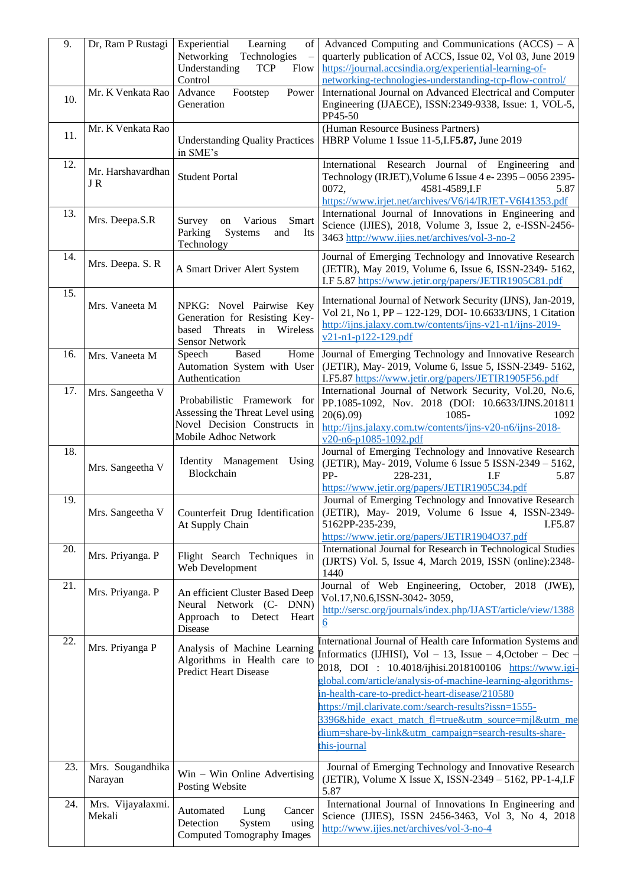| 9.  | Dr, Ram P Rustagi           | Learning<br>Experiential<br>οf<br>Networking<br>Technologies<br>Understanding<br><b>TCP</b><br>Flow<br>Control           | Advanced Computing and Communications $(ACCS) - A$<br>quarterly publication of ACCS, Issue 02, Vol 03, June 2019<br>https://journal.accsindia.org/experiential-learning-of-<br>networking-technologies-understanding-tcp-flow-control/                                                                                                                                                                                                                                                              |
|-----|-----------------------------|--------------------------------------------------------------------------------------------------------------------------|-----------------------------------------------------------------------------------------------------------------------------------------------------------------------------------------------------------------------------------------------------------------------------------------------------------------------------------------------------------------------------------------------------------------------------------------------------------------------------------------------------|
| 10. | Mr. K Venkata Rao           | Advance<br>Power<br>Footstep<br>Generation                                                                               | International Journal on Advanced Electrical and Computer<br>Engineering (IJAECE), ISSN:2349-9338, Issue: 1, VOL-5,<br>PP45-50                                                                                                                                                                                                                                                                                                                                                                      |
| 11. | Mr. K Venkata Rao           | <b>Understanding Quality Practices</b><br>in SME's                                                                       | (Human Resource Business Partners)<br>HBRP Volume 1 Issue 11-5, I.F 5.87, June 2019                                                                                                                                                                                                                                                                                                                                                                                                                 |
| 12. | Mr. Harshavardhan<br>JR     | <b>Student Portal</b>                                                                                                    | International Research Journal<br>of Engineering<br>and<br>Technology (IRJET), Volume 6 Issue 4 e- 2395 - 0056 2395-<br>0072,<br>4581-4589, I.F<br>5.87<br>https://www.irjet.net/archives/V6/i4/IRJET-V6I41353.pdf                                                                                                                                                                                                                                                                                  |
| 13. | Mrs. Deepa.S.R              | Smart<br>Survey<br>Various<br>on<br>Parking<br>Systems<br>and<br>Its<br>Technology                                       | International Journal of Innovations in Engineering and<br>Science (IJIES), 2018, Volume 3, Issue 2, e-ISSN-2456-<br>3463 http://www.ijies.net/archives/vol-3-no-2                                                                                                                                                                                                                                                                                                                                  |
| 14. | Mrs. Deepa. S. R            | A Smart Driver Alert System                                                                                              | Journal of Emerging Technology and Innovative Research<br>(JETIR), May 2019, Volume 6, Issue 6, ISSN-2349- 5162,<br>I.F 5.87 https://www.jetir.org/papers/JETIR1905C81.pdf                                                                                                                                                                                                                                                                                                                          |
| 15. | Mrs. Vaneeta M              | NPKG: Novel Pairwise Key<br>Generation for Resisting Key-<br>based<br>Threats<br>in<br>Wireless<br><b>Sensor Network</b> | International Journal of Network Security (IJNS), Jan-2019,<br>Vol 21, No 1, PP - 122-129, DOI- 10.6633/IJNS, 1 Citation<br>http://ijns.jalaxy.com.tw/contents/ijns-v21-n1/ijns-2019-<br>$v21-n1-p122-129.pdf$                                                                                                                                                                                                                                                                                      |
| 16. | Mrs. Vaneeta M              | <b>Based</b><br>Home<br>Speech<br>Automation System with User<br>Authentication                                          | Journal of Emerging Technology and Innovative Research<br>(JETIR), May-2019, Volume 6, Issue 5, ISSN-2349-5162,<br>I.F5.87 https://www.jetir.org/papers/JETIR1905F56.pdf                                                                                                                                                                                                                                                                                                                            |
| 17. | Mrs. Sangeetha V            | Probabilistic Framework for<br>Assessing the Threat Level using<br>Novel Decision Constructs in<br>Mobile Adhoc Network  | International Journal of Network Security, Vol.20, No.6,<br>PP.1085-1092, Nov. 2018 (DOI: 10.6633/IJNS.201811<br>20(6).09<br>1085-<br>1092<br>http://ijns.jalaxy.com.tw/contents/ijns-v20-n6/ijns-2018-<br>v20-n6-p1085-1092.pdf                                                                                                                                                                                                                                                                    |
| 18. | Mrs. Sangeetha V            | Identity Management<br>Using<br>Blockchain                                                                               | Journal of Emerging Technology and Innovative Research<br>(JETIR), May-2019, Volume 6 Issue 5 ISSN-2349 - 5162,<br>PP-<br>228-231,<br>I.F<br>5.87<br>https://www.jetir.org/papers/JETIR1905C34.pdf                                                                                                                                                                                                                                                                                                  |
| 19. | Mrs. Sangeetha V            | Counterfeit Drug Identification<br>At Supply Chain                                                                       | Journal of Emerging Technology and Innovative Research<br>(JETIR), May- 2019, Volume 6 Issue 4, ISSN-2349-<br>5162PP-235-239,<br>I.F5.87<br>https://www.jetir.org/papers/JETIR1904O37.pdf                                                                                                                                                                                                                                                                                                           |
| 20. | Mrs. Priyanga. P            | Flight Search Techniques in<br>Web Development                                                                           | International Journal for Research in Technological Studies<br>(IJRTS) Vol. 5, Issue 4, March 2019, ISSN (online):2348-<br>1440                                                                                                                                                                                                                                                                                                                                                                     |
| 21. | Mrs. Priyanga. P            | An efficient Cluster Based Deep<br>Neural Network (C- DNN)<br>Approach to<br>Detect<br>Heart<br><b>Disease</b>           | Journal of Web Engineering, October, 2018 (JWE),<br>Vol.17, N0.6, ISSN-3042-3059,<br>http://sersc.org/journals/index.php/IJAST/article/view/1388<br>$6\overline{6}$                                                                                                                                                                                                                                                                                                                                 |
| 22. | Mrs. Priyanga P             | Analysis of Machine Learning<br>Algorithms in Health care to<br><b>Predict Heart Disease</b>                             | International Journal of Health care Information Systems and<br>Informatics (IJHISI), $Vol - 13$ , Issue $- 4$ , October $- Dec$<br>2018, DOI : 10.4018/ijhisi.2018100106 https://www.igi-<br>global.com/article/analysis-of-machine-learning-algorithms-<br>in-health-care-to-predict-heart-disease/210580<br>https://mjl.clarivate.com:/search-results?issn=1555-<br>3396&hide exact match fl=true&utm source=mjl&utm me<br>dium=share-by-link&utm_campaign=search-results-share-<br>this-journal |
| 23. | Mrs. Sougandhika<br>Narayan | $Win - Win$ Online Advertising<br>Posting Website                                                                        | Journal of Emerging Technology and Innovative Research<br>(JETIR), Volume X Issue X, ISSN-2349 - 5162, PP-1-4, I.F<br>5.87                                                                                                                                                                                                                                                                                                                                                                          |
| 24. | Mrs. Vijayalaxmi.<br>Mekali | Automated<br>Lung<br>Cancer<br>System<br>Detection<br>using<br><b>Computed Tomography Images</b>                         | International Journal of Innovations In Engineering and<br>Science (IJIES), ISSN 2456-3463, Vol 3, No 4, 2018<br>http://www.ijies.net/archives/vol-3-no-4                                                                                                                                                                                                                                                                                                                                           |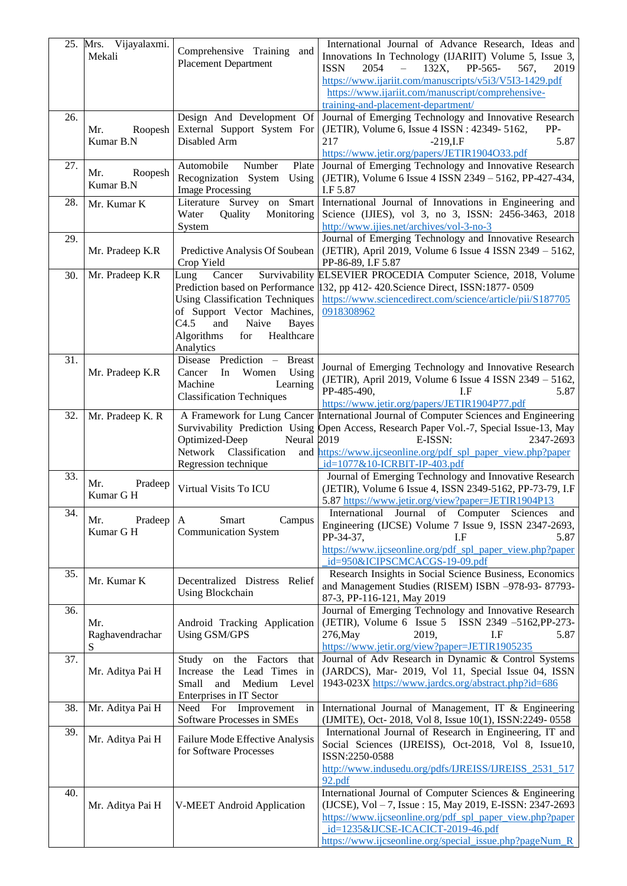|     | 25. Mrs. Vijayalaxmi.<br>Mekali | Comprehensive Training and<br><b>Placement Department</b>                                                                                                                       | International Journal of Advance Research, Ideas and<br>Innovations In Technology (IJARIIT) Volume 5, Issue 3,<br>2054<br>132X,<br>PP-565-<br><b>ISSN</b><br>567,<br>2019<br>https://www.ijariit.com/manuscripts/v5i3/V5I3-1429.pdf<br>https://www.ijariit.com/manuscript/comprehensive-<br>training-and-placement-department/ |
|-----|---------------------------------|---------------------------------------------------------------------------------------------------------------------------------------------------------------------------------|--------------------------------------------------------------------------------------------------------------------------------------------------------------------------------------------------------------------------------------------------------------------------------------------------------------------------------|
| 26. | Mr.<br>Roopesh<br>Kumar B.N     | Design And Development Of<br>External Support System For<br>Disabled Arm                                                                                                        | Journal of Emerging Technology and Innovative Research<br>(JETIR), Volume 6, Issue 4 ISSN : 42349-5162,<br>PP-<br>217<br>$-219$ , I.F<br>5.87<br>https://www.jetir.org/papers/JETIR1904O33.pdf                                                                                                                                 |
| 27. | Mr.<br>Roopesh<br>Kumar B.N     | Automobile<br>Number<br>Plate<br>Recognization System<br>Using<br><b>Image Processing</b>                                                                                       | Journal of Emerging Technology and Innovative Research<br>(JETIR), Volume 6 Issue 4 ISSN 2349 - 5162, PP-427-434,<br>I.F 5.87                                                                                                                                                                                                  |
| 28. | Mr. Kumar K                     | Literature Survey<br>Smart<br>on<br>Monitoring<br>Water<br>Quality<br>System                                                                                                    | International Journal of Innovations in Engineering and<br>Science (IJIES), vol 3, no 3, ISSN: 2456-3463, 2018<br>http://www.ijies.net/archives/vol-3-no-3                                                                                                                                                                     |
| 29. | Mr. Pradeep K.R                 | Predictive Analysis Of Soubean<br>Crop Yield                                                                                                                                    | Journal of Emerging Technology and Innovative Research<br>(JETIR), April 2019, Volume 6 Issue 4 ISSN 2349 - 5162,<br>PP-86-89, I.F 5.87                                                                                                                                                                                        |
| 30. | Mr. Pradeep K.R                 | Lung<br>Cancer<br><b>Using Classification Techniques</b><br>of Support Vector Machines,<br>C4.5<br>and<br>Naive<br><b>Bayes</b><br>Algorithms<br>Healthcare<br>for<br>Analytics | Survivability ELSEVIER PROCEDIA Computer Science, 2018, Volume<br>Prediction based on Performance 132, pp 412-420. Science Direct, ISSN:1877-0509<br>https://www.sciencedirect.com/science/article/pii/S187705<br>0918308962                                                                                                   |
| 31. | Mr. Pradeep K.R                 | Disease Prediction -<br><b>Breast</b><br>Women<br>Using<br>In<br>Cancer<br>Machine<br>Learning<br><b>Classification Techniques</b>                                              | Journal of Emerging Technology and Innovative Research<br>(JETIR), April 2019, Volume 6 Issue 4 ISSN 2349 - 5162,<br>PP-485-490,<br>I.F<br>5.87<br>https://www.jetir.org/papers/JETIR1904P77.pdf                                                                                                                               |
| 32. | Mr. Pradeep K. R                | Neural 2019<br>Optimized-Deep<br>Network<br>Classification<br>Regression technique                                                                                              | A Framework for Lung Cancer International Journal of Computer Sciences and Engineering<br>Survivability Prediction Using Open Access, Research Paper Vol.-7, Special Issue-13, May<br>E-ISSN:<br>2347-2693<br>and https://www.ijcseonline.org/pdf spl paper view.php?paper<br>id=1077&10-ICRBIT-IP-403.pdf                     |
| 33. | Mr.<br>Pradeep<br>Kumar G H     | Virtual Visits To ICU                                                                                                                                                           | Journal of Emerging Technology and Innovative Research<br>(JETIR), Volume 6 Issue 4, ISSN 2349-5162, PP-73-79, I.F<br>5.87 https://www.jetir.org/view?paper=JETIR1904P13                                                                                                                                                       |
| 34. | Mr.<br>Pradeep<br>Kumar G H     | Smart<br>Campus<br>A<br><b>Communication System</b>                                                                                                                             | International Journal of Computer Sciences<br>and<br>Engineering (IJCSE) Volume 7 Issue 9, ISSN 2347-2693,<br>PP-34-37,<br>LF.<br>5.87<br>https://www.ijcseonline.org/pdf spl paper view.php?paper<br>id=950&ICIPSCMCACGS-19-09.pdf                                                                                            |
| 35. | Mr. Kumar K                     | Decentralized Distress Relief<br><b>Using Blockchain</b>                                                                                                                        | Research Insights in Social Science Business, Economics<br>and Management Studies (RISEM) ISBN -978-93- 87793-<br>87-3, PP-116-121, May 2019                                                                                                                                                                                   |
| 36. | Mr.<br>Raghavendrachar<br>S     | Android Tracking Application<br>Using GSM/GPS                                                                                                                                   | Journal of Emerging Technology and Innovative Research<br>(JETIR), Volume $6$ Issue $5$<br>ISSN 2349 -5162, PP-273-<br>276, May<br>2019,<br>I.F<br>5.87<br>https://www.jetir.org/view?paper=JETIR1905235                                                                                                                       |
| 37. | Mr. Aditya Pai H                | Study on the Factors<br>that<br>Increase the Lead Times in<br>Small<br>and<br>Medium<br>Level<br>Enterprises in IT Sector                                                       | Journal of Adv Research in Dynamic & Control Systems<br>(JARDCS), Mar- 2019, Vol 11, Special Issue 04, ISSN<br>1943-023X https://www.jardcs.org/abstract.php?id=686                                                                                                                                                            |
| 38. | Mr. Aditya Pai H                | Need For Improvement<br>in<br>Software Processes in SMEs                                                                                                                        | International Journal of Management, IT & Engineering<br>(IJMITE), Oct-2018, Vol 8, Issue 10(1), ISSN:2249-0558                                                                                                                                                                                                                |
| 39. | Mr. Aditya Pai H                | Failure Mode Effective Analysis<br>for Software Processes                                                                                                                       | International Journal of Research in Engineering, IT and<br>Social Sciences (IJREISS), Oct-2018, Vol 8, Issue10,<br>ISSN:2250-0588<br>http://www.indusedu.org/pdfs/IJREISS/IJREISS 2531 517<br>92.pdf                                                                                                                          |
| 40. | Mr. Aditya Pai H                | <b>V-MEET</b> Android Application                                                                                                                                               | International Journal of Computer Sciences & Engineering<br>(IJCSE), Vol - 7, Issue: 15, May 2019, E-ISSN: 2347-2693<br>https://www.ijcseonline.org/pdf spl paper view.php?paper<br>id=1235&IJCSE-ICACICT-2019-46.pdf<br>https://www.ijcseonline.org/special_issue.php?pageNum_R                                               |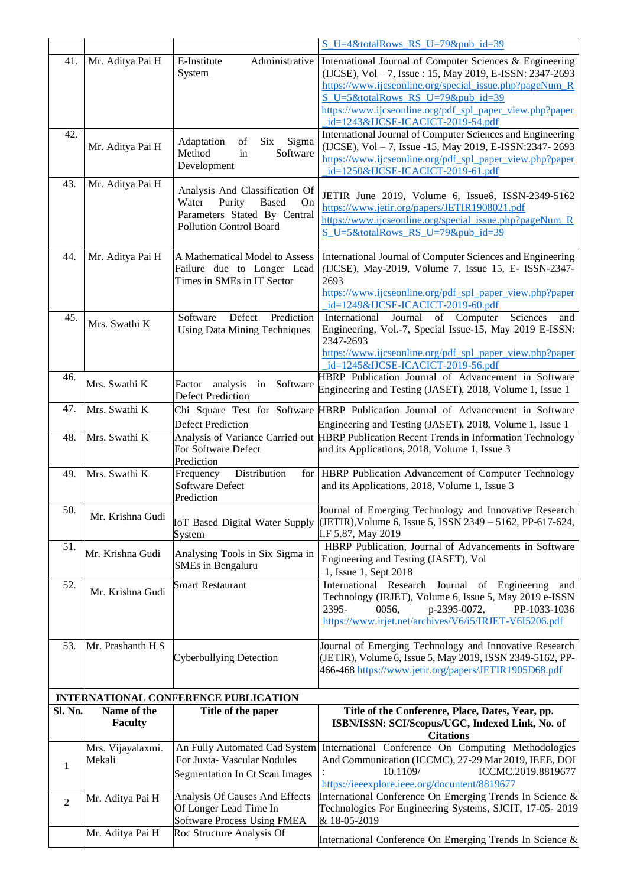|                |                               |                                                                                                                                           | $S$ U=4&totalRows RS U=79&pub id=39                                                                                                                                                                                                                                              |
|----------------|-------------------------------|-------------------------------------------------------------------------------------------------------------------------------------------|----------------------------------------------------------------------------------------------------------------------------------------------------------------------------------------------------------------------------------------------------------------------------------|
| 41.            | Mr. Aditya Pai H              | Administrative<br>E-Institute<br>System                                                                                                   | International Journal of Computer Sciences & Engineering<br>(IJCSE), Vol - 7, Issue: 15, May 2019, E-ISSN: 2347-2693<br>https://www.ijcseonline.org/special issue.php?pageNum R<br>S U=5&totalRows RS U=79&pub id=39<br>https://www.ijcseonline.org/pdf spl paper view.php?paper |
|                |                               |                                                                                                                                           | id=1243&IJCSE-ICACICT-2019-54.pdf                                                                                                                                                                                                                                                |
| 42.            | Mr. Aditya Pai H              | Adaptation<br>Six<br>Sigma<br>of<br>Software<br>Method<br>in<br>Development                                                               | International Journal of Computer Sciences and Engineering<br>(IJCSE), Vol - 7, Issue -15, May 2019, E-ISSN:2347-2693<br>https://www.ijcseonline.org/pdf spl paper view.php?paper<br>id=1250&IJCSE-ICACICT-2019-61.pdf                                                           |
| 43.            | Mr. Aditya Pai H              | Analysis And Classification Of<br>Purity<br>Water<br><b>Based</b><br>On<br>Parameters Stated By Central<br><b>Pollution Control Board</b> | JETIR June 2019, Volume 6, Issue6, ISSN-2349-5162<br>https://www.jetir.org/papers/JETIR1908021.pdf<br>https://www.ijcseonline.org/special issue.php?pageNum R<br>S U=5&totalRows RS U=79&pub id=39                                                                               |
| 44.            | Mr. Aditya Pai H              | A Mathematical Model to Assess<br>Failure due to Longer Lead<br>Times in SMEs in IT Sector                                                | International Journal of Computer Sciences and Engineering<br>(IJCSE), May-2019, Volume 7, Issue 15, E- ISSN-2347-<br>2693<br>https://www.ijcseonline.org/pdf spl paper view.php?paper<br>id=1249&IJCSE-ICACICT-2019-60.pdf                                                      |
| 45.            | Mrs. Swathi K                 | Prediction<br>Software<br>Defect<br><b>Using Data Mining Techniques</b>                                                                   | Journal of Computer Sciences<br>International<br>and<br>Engineering, Vol.-7, Special Issue-15, May 2019 E-ISSN:<br>2347-2693                                                                                                                                                     |
|                |                               |                                                                                                                                           | https://www.ijcseonline.org/pdf spl paper view.php?paper                                                                                                                                                                                                                         |
| 46.            |                               |                                                                                                                                           | id=1245&IJCSE-ICACICT-2019-56.pdf<br>HBRP Publication Journal of Advancement in Software                                                                                                                                                                                         |
|                | Mrs. Swathi K                 | Factor analysis<br>in<br>Software<br><b>Defect Prediction</b>                                                                             | Engineering and Testing (JASET), 2018, Volume 1, Issue 1                                                                                                                                                                                                                         |
| 47.            | Mrs. Swathi K                 |                                                                                                                                           | Chi Square Test for Software HBRP Publication Journal of Advancement in Software                                                                                                                                                                                                 |
|                |                               | <b>Defect Prediction</b>                                                                                                                  | Engineering and Testing (JASET), 2018, Volume 1, Issue 1                                                                                                                                                                                                                         |
| 48.            | Mrs. Swathi K                 | For Software Defect<br>Prediction                                                                                                         | Analysis of Variance Carried out HBRP Publication Recent Trends in Information Technology<br>and its Applications, 2018, Volume 1, Issue 3                                                                                                                                       |
| 49.            | Mrs. Swathi K                 | Distribution<br>Frequency<br>for<br><b>Software Defect</b><br>Prediction                                                                  | HBRP Publication Advancement of Computer Technology<br>and its Applications, 2018, Volume 1, Issue 3                                                                                                                                                                             |
| 50.            | Mr. Krishna Gudi              | IoT Based Digital Water Supply<br>System                                                                                                  | Journal of Emerging Technology and Innovative Research<br>(JETIR), Volume 6, Issue 5, ISSN 2349 - 5162, PP-617-624,<br>I.F 5.87, May 2019                                                                                                                                        |
| 51.            | Mr. Krishna Gudi              | Analysing Tools in Six Sigma in<br><b>SMEs in Bengaluru</b>                                                                               | HBRP Publication, Journal of Advancements in Software<br>Engineering and Testing (JASET), Vol<br>1, Issue 1, Sept 2018                                                                                                                                                           |
| 52.            | Mr. Krishna Gudi              | <b>Smart Restaurant</b>                                                                                                                   | International Research Journal of Engineering and<br>Technology (IRJET), Volume 6, Issue 5, May 2019 e-ISSN<br>2395-<br>0056,<br>p-2395-0072,<br>PP-1033-1036<br>https://www.irjet.net/archives/V6/i5/IRJET-V6I5206.pdf                                                          |
| 53.            | Mr. Prashanth H S             | Cyberbullying Detection                                                                                                                   | Journal of Emerging Technology and Innovative Research<br>(JETIR), Volume 6, Issue 5, May 2019, ISSN 2349-5162, PP-<br>466-468 https://www.jetir.org/papers/JETIR1905D68.pdf                                                                                                     |
|                |                               | INTERNATIONAL CONFERENCE PUBLICATION                                                                                                      |                                                                                                                                                                                                                                                                                  |
| Sl. No.        | Name of the<br><b>Faculty</b> | Title of the paper                                                                                                                        | Title of the Conference, Place, Dates, Year, pp.<br>ISBN/ISSN: SCI/Scopus/UGC, Indexed Link, No. of<br><b>Citations</b>                                                                                                                                                          |
| 1              | Mrs. Vijayalaxmi.<br>Mekali   | An Fully Automated Cad System<br>For Juxta- Vascular Nodules<br>Segmentation In Ct Scan Images                                            | International Conference On Computing Methodologies<br>And Communication (ICCMC), 27-29 Mar 2019, IEEE, DOI<br>ICCMC.2019.8819677<br>10.1109/<br>https://ieeexplore.ieee.org/document/8819677                                                                                    |
| $\overline{2}$ | Mr. Aditya Pai H              | Analysis Of Causes And Effects<br>Of Longer Lead Time In<br><b>Software Process Using FMEA</b>                                            | International Conference On Emerging Trends In Science &<br>Technologies For Engineering Systems, SJCIT, 17-05-2019<br>& 18-05-2019                                                                                                                                              |
|                | Mr. Aditya Pai H              | Roc Structure Analysis Of                                                                                                                 | International Conference On Emerging Trends In Science &                                                                                                                                                                                                                         |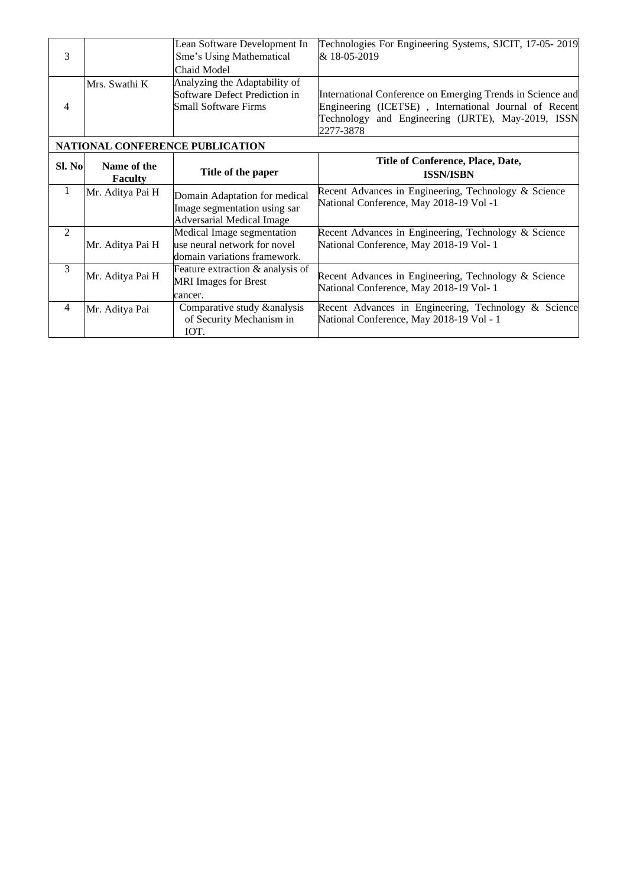| 3              |                               | Lean Software Development In<br>Sme's Using Mathematical<br>Chaid Model                           | Technologies For Engineering Systems, SJCIT, 17-05-2019<br>& 18-05-2019                                                                                                                   |
|----------------|-------------------------------|---------------------------------------------------------------------------------------------------|-------------------------------------------------------------------------------------------------------------------------------------------------------------------------------------------|
| 4              | Mrs. Swathi K                 | Analyzing the Adaptability of<br>Software Defect Prediction in<br>Small Software Firms            | International Conference on Emerging Trends in Science and<br>Engineering (ICETSE), International Journal of Recent<br>and Engineering (IJRTE), May-2019, ISSN<br>Technology<br>2277-3878 |
|                |                               | <b>NATIONAL CONFERENCE PUBLICATION</b>                                                            |                                                                                                                                                                                           |
| Sl. No         | Name of the<br><b>Faculty</b> | Title of the paper                                                                                | Title of Conference, Place, Date,<br><b>ISSN/ISBN</b>                                                                                                                                     |
| 1              | Mr. Aditya Pai H              | Domain Adaptation for medical<br>Image segmentation using sar<br><b>Adversarial Medical Image</b> | Recent Advances in Engineering, Technology & Science<br>National Conference, May 2018-19 Vol -1                                                                                           |
| $\mathfrak{D}$ | Mr. Aditya Pai H              | Medical Image segmentation<br>use neural network for novel<br>domain variations framework.        | Recent Advances in Engineering, Technology & Science<br>National Conference, May 2018-19 Vol- 1                                                                                           |
| 3              | Mr. Aditya Pai H              | Feature extraction & analysis of<br><b>MRI</b> Images for Brest<br>cancer.                        | Recent Advances in Engineering, Technology & Science<br>National Conference, May 2018-19 Vol- 1                                                                                           |
| 4              | Mr. Aditya Pai                | Comparative study & analysis<br>of Security Mechanism in<br>IOT.                                  | Recent Advances in Engineering, Technology & Science<br>National Conference, May 2018-19 Vol - 1                                                                                          |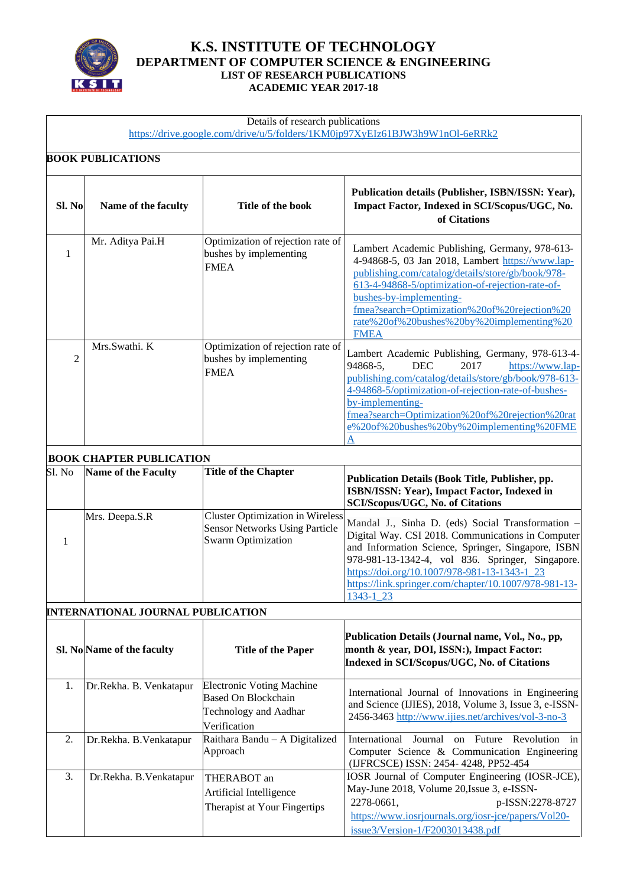

#### **K.S. INSTITUTE OF TECHNOLOGY DEPARTMENT OF COMPUTER SCIENCE & ENGINEERING LIST OF RESEARCH PUBLICATIONS ACADEMIC YEAR 2017-18**

#### Details of research publications

<https://drive.google.com/drive/u/5/folders/1KM0jp97XyEIz61BJW3h9W1nOl-6eRRk2>

## **BOOK PUBLICATIONS**

| Sl. No         | Name of the faculty | Title of the book                                                          | Publication details (Publisher, ISBN/ISSN: Year),<br>Impact Factor, Indexed in SCI/Scopus/UGC, No.<br>of Citations                                                                                                                                                                                                                                 |
|----------------|---------------------|----------------------------------------------------------------------------|----------------------------------------------------------------------------------------------------------------------------------------------------------------------------------------------------------------------------------------------------------------------------------------------------------------------------------------------------|
|                | Mr. Aditya Pai.H    | Optimization of rejection rate of<br>bushes by implementing<br><b>FMEA</b> | Lambert Academic Publishing, Germany, 978-613-<br>4-94868-5, 03 Jan 2018, Lambert https://www.lap-<br>publishing.com/catalog/details/store/gb/book/978-<br>613-4-94868-5/optimization-of-rejection-rate-of-<br>bushes-by-implementing-<br>fmea?search=Optimization%20of%20rejection%20<br>rate%20of%20bushes%20by%20implementing%20<br><b>FMEA</b> |
| $\mathfrak{D}$ | Mrs.Swathi. K       | Optimization of rejection rate of<br>bushes by implementing<br><b>FMEA</b> | Lambert Academic Publishing, Germany, 978-613-4-<br>2017<br>https://www.lap-<br>94868-5.<br><b>DEC</b><br>publishing.com/catalog/details/store/gb/book/978-613-<br>4-94868-5/optimization-of-rejection-rate-of-bushes-<br>by-implementing-<br>fmea?search=Optimization%20of%20rejection%20rat<br>e%20of%20bushes%20by%20implementing%20FME         |

## **BOOK CHAPTER PUBLICATION**

| Sl. No | <b>Name of the Faculty</b> | <b>Title of the Chapter</b>                                                                                   | Publication Details (Book Title, Publisher, pp.<br>ISBN/ISSN: Year), Impact Factor, Indexed in<br><b>SCI/Scopus/UGC, No. of Citations</b>                                                                                                                                                                                              |
|--------|----------------------------|---------------------------------------------------------------------------------------------------------------|----------------------------------------------------------------------------------------------------------------------------------------------------------------------------------------------------------------------------------------------------------------------------------------------------------------------------------------|
|        | Mrs. Deepa.S.R             | <b>Cluster Optimization in Wireless</b><br><b>Sensor Networks Using Particle</b><br><b>Swarm Optimization</b> | Mandal J., Sinha D. (eds) Social Transformation -<br>Digital Way. CSI 2018. Communications in Computer<br>and Information Science, Springer, Singapore, ISBN<br>978-981-13-1342-4, vol 836. Springer, Singapore.<br>https://doi.org/10.1007/978-981-13-1343-1_23<br>https://link.springer.com/chapter/10.1007/978-981-13-<br>1343-1 23 |

#### **INTERNATIONAL JOURNAL PUBLICATION**

|               | Sl. No Name of the faculty | <b>Title of the Paper</b>                                                                               | Publication Details (Journal name, Vol., No., pp,<br>month & year, DOI, ISSN:), Impact Factor:<br>Indexed in SCI/Scopus/UGC, No. of Citations                                                                               |
|---------------|----------------------------|---------------------------------------------------------------------------------------------------------|-----------------------------------------------------------------------------------------------------------------------------------------------------------------------------------------------------------------------------|
| $1_{\cdot}$   | Dr. Rekha. B. Venkatapur   | <b>Electronic Voting Machine</b><br>Based On Blockchain<br><b>Technology and Aadhar</b><br>Verification | International Journal of Innovations in Engineering<br>and Science (IJIES), 2018, Volume 3, Issue 3, e-ISSN-<br>2456-3463 http://www.ijies.net/archives/vol-3-no-3                                                          |
| 2.            | Dr.Rekha. B.Venkatapur     | Raithara Bandu $-$ A Digitalized<br>Approach                                                            | International<br>Journal on Future<br>Revolution<br>in<br>Computer Science & Communication Engineering<br>(IJFRCSCE) ISSN: 2454-4248, PP52-454                                                                              |
| $\mathcal{E}$ | Dr.Rekha. B.Venkatapur     | THERABOT an<br>Artificial Intelligence<br>Therapist at Your Fingertips                                  | IOSR Journal of Computer Engineering (IOSR-JCE),<br>May-June 2018, Volume 20, Issue 3, e-ISSN-<br>2278-0661,<br>p-ISSN:2278-8727<br>https://www.iosrjournals.org/iosr-jce/papers/Vol20-<br>issue3/Version-1/F2003013438.pdf |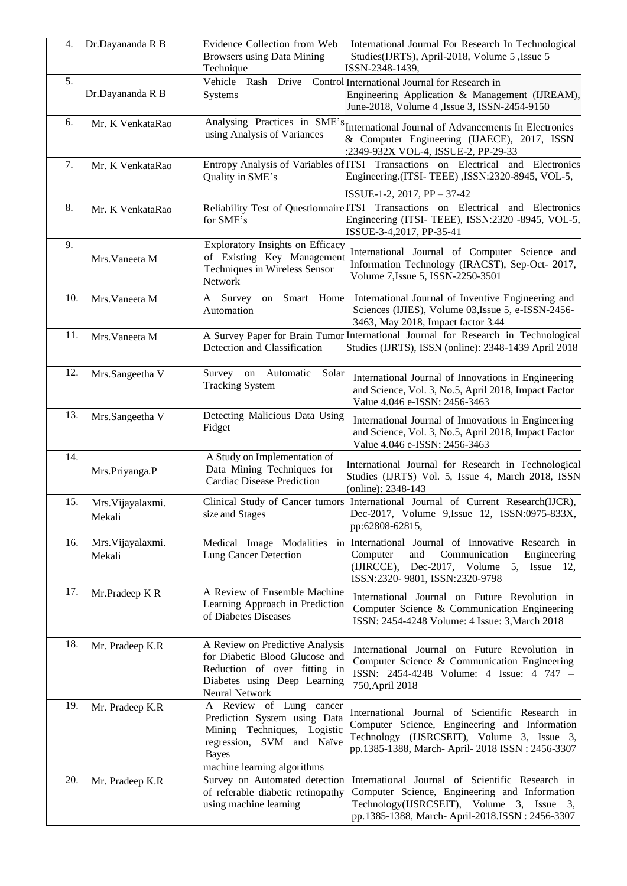| 4.  | Dr.Dayananda R B            | Evidence Collection from Web<br><b>Browsers using Data Mining</b><br>Technique                                                                                     | International Journal For Research In Technological<br>Studies(IJRTS), April-2018, Volume 5, Issue 5<br>ISSN-2348-1439,                                                                            |
|-----|-----------------------------|--------------------------------------------------------------------------------------------------------------------------------------------------------------------|----------------------------------------------------------------------------------------------------------------------------------------------------------------------------------------------------|
| 5.  | Dr.Dayananda R B            | Vehicle Rash Drive<br><b>Systems</b>                                                                                                                               | Control International Journal for Research in<br>Engineering Application & Management (IJREAM),<br>June-2018, Volume 4, Issue 3, ISSN-2454-9150                                                    |
| 6.  | Mr. K VenkataRao            | using Analysis of Variances                                                                                                                                        | Analysing Practices in SME's<br>International Journal of Advancements In Electronics<br>& Computer Engineering (IJAECE), 2017, ISSN<br>:2349-932X VOL-4, ISSUE-2, PP-29-33                         |
| 7.  | Mr. K VenkataRao            | Quality in SME's                                                                                                                                                   | Entropy Analysis of Variables of ITSI Transactions on Electrical and Electronics<br>Engineering.(ITSI-TEEE), ISSN:2320-8945, VOL-5,<br>ISSUE-1-2, 2017, PP - 37-42                                 |
| 8.  | Mr. K VenkataRao            | for SME's                                                                                                                                                          | Reliability Test of Questionnaire ITSI Transactions on Electrical and Electronics<br>Engineering (ITSI- TEEE), ISSN:2320 -8945, VOL-5,<br>ISSUE-3-4,2017, PP-35-41                                 |
| 9.  | Mrs. Vaneeta M              | Exploratory Insights on Efficacy<br>of Existing Key Management<br>Techniques in Wireless Sensor<br>Network                                                         | International Journal of Computer Science and<br>Information Technology (IRACST), Sep-Oct- 2017,<br>Volume 7, Issue 5, ISSN-2250-3501                                                              |
| 10. | Mrs. Vaneeta M              | Smart Home<br>A<br>Survey<br>on<br>Automation                                                                                                                      | International Journal of Inventive Engineering and<br>Sciences (IJIES), Volume 03, Issue 5, e-ISSN-2456-<br>3463, May 2018, Impact factor 3.44                                                     |
| 11. | Mrs. Vaneeta M              | Detection and Classification                                                                                                                                       | A Survey Paper for Brain Tumor International Journal for Research in Technological<br>Studies (IJRTS), ISSN (online): 2348-1439 April 2018                                                         |
| 12. | Mrs.Sangeetha V             | Survey on Automatic<br>Solar<br><b>Tracking System</b>                                                                                                             | International Journal of Innovations in Engineering<br>and Science, Vol. 3, No.5, April 2018, Impact Factor<br>Value 4.046 e-ISSN: 2456-3463                                                       |
| 13. | Mrs.Sangeetha V             | Detecting Malicious Data Using<br>Fidget                                                                                                                           | International Journal of Innovations in Engineering<br>and Science, Vol. 3, No.5, April 2018, Impact Factor<br>Value 4.046 e-ISSN: 2456-3463                                                       |
| 14. | Mrs.Priyanga.P              | A Study on Implementation of<br>Data Mining Techniques for<br><b>Cardiac Disease Prediction</b>                                                                    | International Journal for Research in Technological<br>Studies (IJRTS) Vol. 5, Issue 4, March 2018, ISSN<br>(online): 2348-143                                                                     |
| 15. | Mrs. Vijayalaxmi.<br>Mekali | Clinical Study of Cancer tumors<br>size and Stages                                                                                                                 | International Journal of Current Research(IJCR),<br>Dec-2017, Volume 9, Issue 12, ISSN: 0975-833X,<br>pp:62808-62815,                                                                              |
| 16. | Mrs. Vijayalaxmi.<br>Mekali | Medical Image Modalities in<br>Lung Cancer Detection                                                                                                               | International Journal of Innovative Research in<br>Computer<br>and<br>Communication<br>Engineering<br>(IJIRCCE),<br>Dec-2017, Volume 5, Issue 12,<br>ISSN:2320-9801, ISSN:2320-9798                |
| 17. | Mr.Pradeep K R              | A Review of Ensemble Machine<br>Learning Approach in Prediction<br>of Diabetes Diseases                                                                            | International Journal on Future Revolution in<br>Computer Science & Communication Engineering<br>ISSN: 2454-4248 Volume: 4 Issue: 3, March 2018                                                    |
| 18. | Mr. Pradeep K.R             | A Review on Predictive Analysis<br>for Diabetic Blood Glucose and<br>Reduction of over fitting in<br>Diabetes using Deep Learning<br>Neural Network                | International Journal on Future Revolution in<br>Computer Science & Communication Engineering<br>ISSN: 2454-4248 Volume: 4 Issue: 4 747 -<br>750, April 2018                                       |
| 19. | Mr. Pradeep K.R             | A Review of Lung cancer<br>Prediction System using Data<br>Mining Techniques, Logistic<br>regression, SVM and Naïve<br><b>Bayes</b><br>machine learning algorithms | International Journal of Scientific Research in<br>Computer Science, Engineering and Information<br>Technology (IJSRCSEIT), Volume 3, Issue 3,<br>pp.1385-1388, March- April- 2018 ISSN: 2456-3307 |
| 20. | Mr. Pradeep K.R             | Survey on Automated detection<br>of referable diabetic retinopathy<br>using machine learning                                                                       | International Journal of Scientific Research in<br>Computer Science, Engineering and Information<br>Technology(IJSRCSEIT), Volume 3, Issue 3,<br>pp.1385-1388, March-April-2018.ISSN: 2456-3307    |